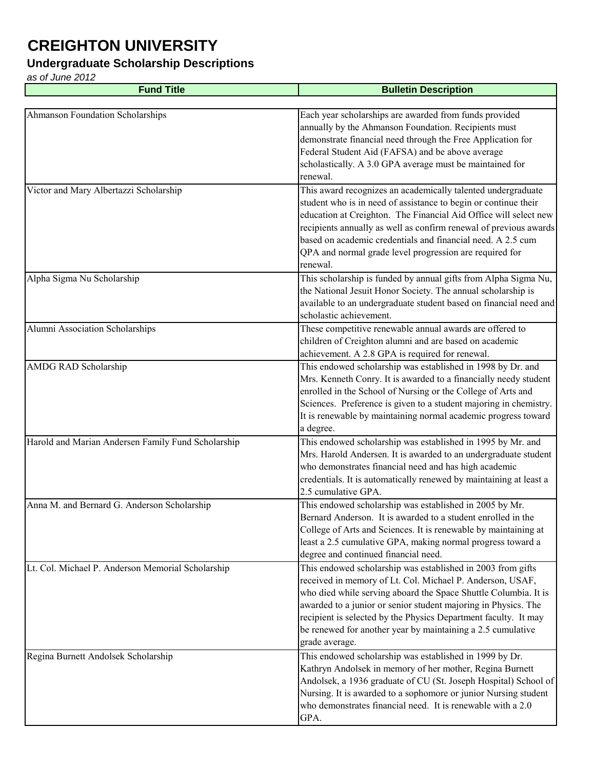#### **Undergraduate Scholarship Descriptions**

| <b>Fund Title</b>                                  | <b>Bulletin Description</b>                                                                                                                                                                                                                                                                                                                                                                                       |
|----------------------------------------------------|-------------------------------------------------------------------------------------------------------------------------------------------------------------------------------------------------------------------------------------------------------------------------------------------------------------------------------------------------------------------------------------------------------------------|
|                                                    |                                                                                                                                                                                                                                                                                                                                                                                                                   |
| Ahmanson Foundation Scholarships                   | Each year scholarships are awarded from funds provided<br>annually by the Ahmanson Foundation. Recipients must<br>demonstrate financial need through the Free Application for<br>Federal Student Aid (FAFSA) and be above average<br>scholastically. A 3.0 GPA average must be maintained for<br>renewal.                                                                                                         |
| Victor and Mary Albertazzi Scholarship             | This award recognizes an academically talented undergraduate<br>student who is in need of assistance to begin or continue their<br>education at Creighton. The Financial Aid Office will select new<br>recipients annually as well as confirm renewal of previous awards                                                                                                                                          |
|                                                    | based on academic credentials and financial need. A 2.5 cum<br>QPA and normal grade level progression are required for<br>renewal.                                                                                                                                                                                                                                                                                |
| Alpha Sigma Nu Scholarship                         | This scholarship is funded by annual gifts from Alpha Sigma Nu,<br>the National Jesuit Honor Society. The annual scholarship is<br>available to an undergraduate student based on financial need and<br>scholastic achievement.                                                                                                                                                                                   |
| Alumni Association Scholarships                    | These competitive renewable annual awards are offered to<br>children of Creighton alumni and are based on academic<br>achievement. A 2.8 GPA is required for renewal.                                                                                                                                                                                                                                             |
| AMDG RAD Scholarship                               | This endowed scholarship was established in 1998 by Dr. and<br>Mrs. Kenneth Conry. It is awarded to a financially needy student<br>enrolled in the School of Nursing or the College of Arts and<br>Sciences. Preference is given to a student majoring in chemistry.<br>It is renewable by maintaining normal academic progress toward<br>a degree.                                                               |
| Harold and Marian Andersen Family Fund Scholarship | This endowed scholarship was established in 1995 by Mr. and<br>Mrs. Harold Andersen. It is awarded to an undergraduate student<br>who demonstrates financial need and has high academic<br>credentials. It is automatically renewed by maintaining at least a<br>2.5 cumulative GPA.                                                                                                                              |
| Anna M. and Bernard G. Anderson Scholarship        | This endowed scholarship was established in 2005 by Mr.<br>Bernard Anderson. It is awarded to a student enrolled in the<br>College of Arts and Sciences. It is renewable by maintaining at<br>least a 2.5 cumulative GPA, making normal progress toward a<br>degree and continued financial need.                                                                                                                 |
| Lt. Col. Michael P. Anderson Memorial Scholarship  | This endowed scholarship was established in 2003 from gifts<br>received in memory of Lt. Col. Michael P. Anderson, USAF,<br>who died while serving aboard the Space Shuttle Columbia. It is<br>awarded to a junior or senior student majoring in Physics. The<br>recipient is selected by the Physics Department faculty. It may<br>be renewed for another year by maintaining a 2.5 cumulative<br>grade average. |
| Regina Burnett Andolsek Scholarship                | This endowed scholarship was established in 1999 by Dr.<br>Kathryn Andolsek in memory of her mother, Regina Burnett<br>Andolsek, a 1936 graduate of CU (St. Joseph Hospital) School of<br>Nursing. It is awarded to a sophomore or junior Nursing student<br>who demonstrates financial need. It is renewable with a 2.0<br>GPA.                                                                                  |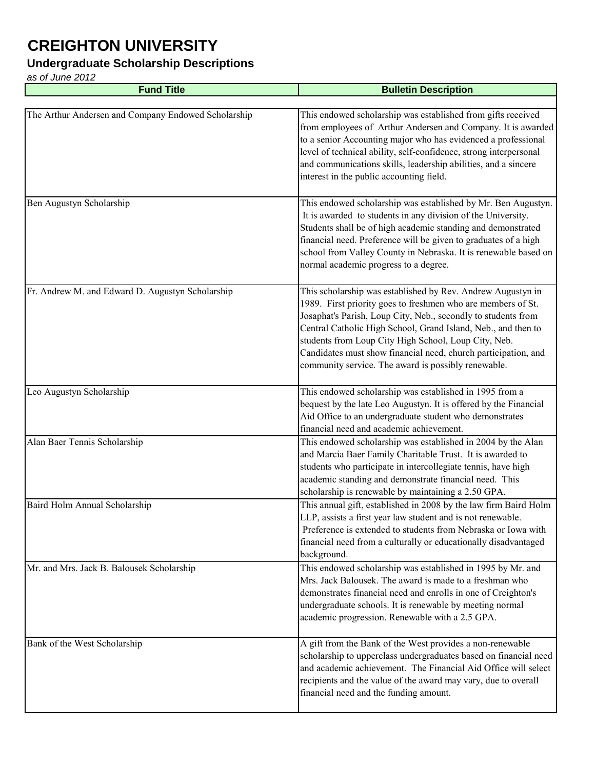### **Undergraduate Scholarship Descriptions**

| <b>Fund Title</b>                                   | <b>Bulletin Description</b>                                                                                                                                                                                                                                                                                                                                                                                                                    |
|-----------------------------------------------------|------------------------------------------------------------------------------------------------------------------------------------------------------------------------------------------------------------------------------------------------------------------------------------------------------------------------------------------------------------------------------------------------------------------------------------------------|
|                                                     |                                                                                                                                                                                                                                                                                                                                                                                                                                                |
| The Arthur Andersen and Company Endowed Scholarship | This endowed scholarship was established from gifts received<br>from employees of Arthur Andersen and Company. It is awarded<br>to a senior Accounting major who has evidenced a professional<br>level of technical ability, self-confidence, strong interpersonal<br>and communications skills, leadership abilities, and a sincere<br>interest in the public accounting field.                                                               |
| Ben Augustyn Scholarship                            | This endowed scholarship was established by Mr. Ben Augustyn.<br>It is awarded to students in any division of the University.<br>Students shall be of high academic standing and demonstrated<br>financial need. Preference will be given to graduates of a high<br>school from Valley County in Nebraska. It is renewable based on<br>normal academic progress to a degree.                                                                   |
| Fr. Andrew M. and Edward D. Augustyn Scholarship    | This scholarship was established by Rev. Andrew Augustyn in<br>1989. First priority goes to freshmen who are members of St.<br>Josaphat's Parish, Loup City, Neb., secondly to students from<br>Central Catholic High School, Grand Island, Neb., and then to<br>students from Loup City High School, Loup City, Neb.<br>Candidates must show financial need, church participation, and<br>community service. The award is possibly renewable. |
| Leo Augustyn Scholarship                            | This endowed scholarship was established in 1995 from a<br>bequest by the late Leo Augustyn. It is offered by the Financial<br>Aid Office to an undergraduate student who demonstrates<br>financial need and academic achievement.                                                                                                                                                                                                             |
| Alan Baer Tennis Scholarship                        | This endowed scholarship was established in 2004 by the Alan<br>and Marcia Baer Family Charitable Trust. It is awarded to<br>students who participate in intercollegiate tennis, have high<br>academic standing and demonstrate financial need. This<br>scholarship is renewable by maintaining a 2.50 GPA.                                                                                                                                    |
| Baird Holm Annual Scholarship                       | This annual gift, established in 2008 by the law firm Baird Holm<br>LLP, assists a first year law student and is not renewable.<br>Preference is extended to students from Nebraska or Iowa with<br>financial need from a culturally or educationally disadvantaged<br>background.                                                                                                                                                             |
| Mr. and Mrs. Jack B. Balousek Scholarship           | This endowed scholarship was established in 1995 by Mr. and<br>Mrs. Jack Balousek. The award is made to a freshman who<br>demonstrates financial need and enrolls in one of Creighton's<br>undergraduate schools. It is renewable by meeting normal<br>academic progression. Renewable with a 2.5 GPA.                                                                                                                                         |
| Bank of the West Scholarship                        | A gift from the Bank of the West provides a non-renewable<br>scholarship to upperclass undergraduates based on financial need<br>and academic achievement. The Financial Aid Office will select<br>recipients and the value of the award may vary, due to overall<br>financial need and the funding amount.                                                                                                                                    |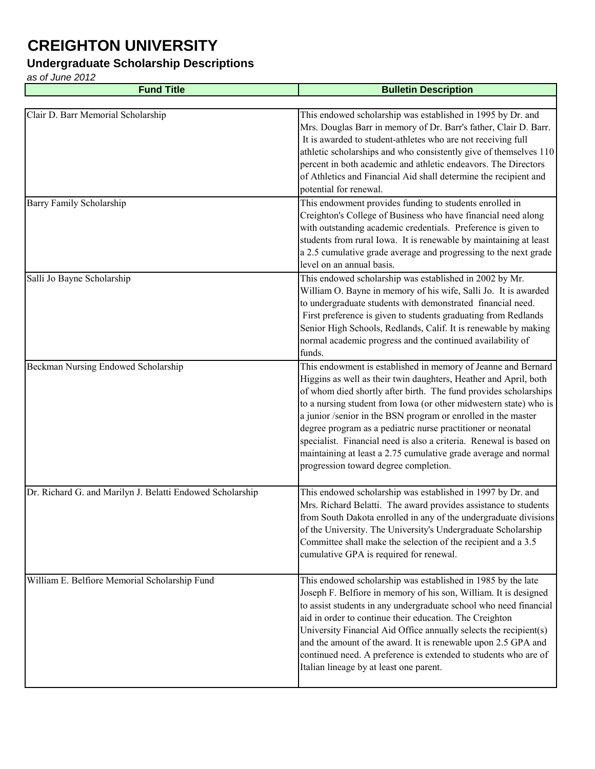#### **Undergraduate Scholarship Descriptions**

| <b>Fund Title</b>                                         | <b>Bulletin Description</b>                                                                                                                                                                                                                                                                                                                                                                                                                                                                                                                                                                   |
|-----------------------------------------------------------|-----------------------------------------------------------------------------------------------------------------------------------------------------------------------------------------------------------------------------------------------------------------------------------------------------------------------------------------------------------------------------------------------------------------------------------------------------------------------------------------------------------------------------------------------------------------------------------------------|
|                                                           |                                                                                                                                                                                                                                                                                                                                                                                                                                                                                                                                                                                               |
| Clair D. Barr Memorial Scholarship                        | This endowed scholarship was established in 1995 by Dr. and<br>Mrs. Douglas Barr in memory of Dr. Barr's father, Clair D. Barr.<br>It is awarded to student-athletes who are not receiving full<br>athletic scholarships and who consistently give of themselves 110<br>percent in both academic and athletic endeavors. The Directors<br>of Athletics and Financial Aid shall determine the recipient and<br>potential for renewal.                                                                                                                                                          |
| <b>Barry Family Scholarship</b>                           | This endowment provides funding to students enrolled in<br>Creighton's College of Business who have financial need along<br>with outstanding academic credentials. Preference is given to<br>students from rural Iowa. It is renewable by maintaining at least<br>a 2.5 cumulative grade average and progressing to the next grade<br>level on an annual basis.                                                                                                                                                                                                                               |
| Salli Jo Bayne Scholarship                                | This endowed scholarship was established in 2002 by Mr.<br>William O. Bayne in memory of his wife, Salli Jo. It is awarded<br>to undergraduate students with demonstrated financial need.<br>First preference is given to students graduating from Redlands<br>Senior High Schools, Redlands, Calif. It is renewable by making<br>normal academic progress and the continued availability of<br>funds.                                                                                                                                                                                        |
| Beckman Nursing Endowed Scholarship                       | This endowment is established in memory of Jeanne and Bernard<br>Higgins as well as their twin daughters, Heather and April, both<br>of whom died shortly after birth. The fund provides scholarships<br>to a nursing student from Iowa (or other midwestern state) who is<br>a junior /senior in the BSN program or enrolled in the master<br>degree program as a pediatric nurse practitioner or neonatal<br>specialist. Financial need is also a criteria. Renewal is based on<br>maintaining at least a 2.75 cumulative grade average and normal<br>progression toward degree completion. |
| Dr. Richard G. and Marilyn J. Belatti Endowed Scholarship | This endowed scholarship was established in 1997 by Dr. and<br>Mrs. Richard Belatti. The award provides assistance to students<br>from South Dakota enrolled in any of the undergraduate divisions<br>of the University. The University's Undergraduate Scholarship<br>Committee shall make the selection of the recipient and a 3.5<br>cumulative GPA is required for renewal.                                                                                                                                                                                                               |
| William E. Belfiore Memorial Scholarship Fund             | This endowed scholarship was established in 1985 by the late<br>Joseph F. Belfiore in memory of his son, William. It is designed<br>to assist students in any undergraduate school who need financial<br>aid in order to continue their education. The Creighton<br>University Financial Aid Office annually selects the recipient(s)<br>and the amount of the award. It is renewable upon 2.5 GPA and<br>continued need. A preference is extended to students who are of<br>Italian lineage by at least one parent.                                                                          |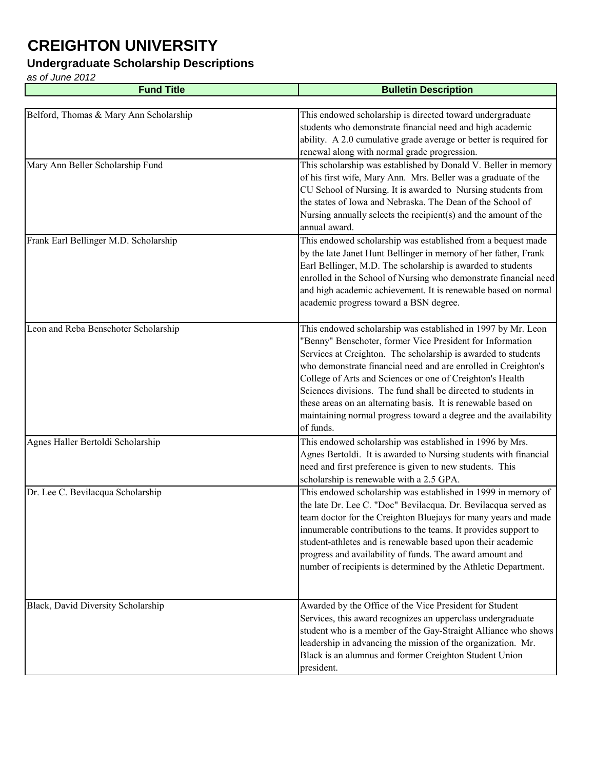### **Undergraduate Scholarship Descriptions**

| <b>Fund Title</b>                      | <b>Bulletin Description</b>                                                                                                                                                                                                                                                                                                                                                                                                                                                                                                                  |
|----------------------------------------|----------------------------------------------------------------------------------------------------------------------------------------------------------------------------------------------------------------------------------------------------------------------------------------------------------------------------------------------------------------------------------------------------------------------------------------------------------------------------------------------------------------------------------------------|
|                                        |                                                                                                                                                                                                                                                                                                                                                                                                                                                                                                                                              |
| Belford, Thomas & Mary Ann Scholarship | This endowed scholarship is directed toward undergraduate<br>students who demonstrate financial need and high academic<br>ability. A 2.0 cumulative grade average or better is required for<br>renewal along with normal grade progression.                                                                                                                                                                                                                                                                                                  |
| Mary Ann Beller Scholarship Fund       | This scholarship was established by Donald V. Beller in memory<br>of his first wife, Mary Ann. Mrs. Beller was a graduate of the<br>CU School of Nursing. It is awarded to Nursing students from<br>the states of Iowa and Nebraska. The Dean of the School of<br>Nursing annually selects the recipient(s) and the amount of the<br>annual award.                                                                                                                                                                                           |
| Frank Earl Bellinger M.D. Scholarship  | This endowed scholarship was established from a bequest made<br>by the late Janet Hunt Bellinger in memory of her father, Frank<br>Earl Bellinger, M.D. The scholarship is awarded to students<br>enrolled in the School of Nursing who demonstrate financial need<br>and high academic achievement. It is renewable based on normal<br>academic progress toward a BSN degree.                                                                                                                                                               |
| Leon and Reba Benschoter Scholarship   | This endowed scholarship was established in 1997 by Mr. Leon<br>"Benny" Benschoter, former Vice President for Information<br>Services at Creighton. The scholarship is awarded to students<br>who demonstrate financial need and are enrolled in Creighton's<br>College of Arts and Sciences or one of Creighton's Health<br>Sciences divisions. The fund shall be directed to students in<br>these areas on an alternating basis. It is renewable based on<br>maintaining normal progress toward a degree and the availability<br>of funds. |
| Agnes Haller Bertoldi Scholarship      | This endowed scholarship was established in 1996 by Mrs.<br>Agnes Bertoldi. It is awarded to Nursing students with financial<br>need and first preference is given to new students. This<br>scholarship is renewable with a 2.5 GPA.                                                                                                                                                                                                                                                                                                         |
| Dr. Lee C. Bevilacqua Scholarship      | This endowed scholarship was established in 1999 in memory of<br>the late Dr. Lee C. "Doc" Bevilacqua. Dr. Bevilacqua served as<br>team doctor for the Creighton Bluejays for many years and made<br>innumerable contributions to the teams. It provides support to<br>student-athletes and is renewable based upon their academic<br>progress and availability of funds. The award amount and<br>number of recipients is determined by the Athletic Department.                                                                             |
| Black, David Diversity Scholarship     | Awarded by the Office of the Vice President for Student<br>Services, this award recognizes an upperclass undergraduate<br>student who is a member of the Gay-Straight Alliance who shows<br>leadership in advancing the mission of the organization. Mr.<br>Black is an alumnus and former Creighton Student Union<br>president.                                                                                                                                                                                                             |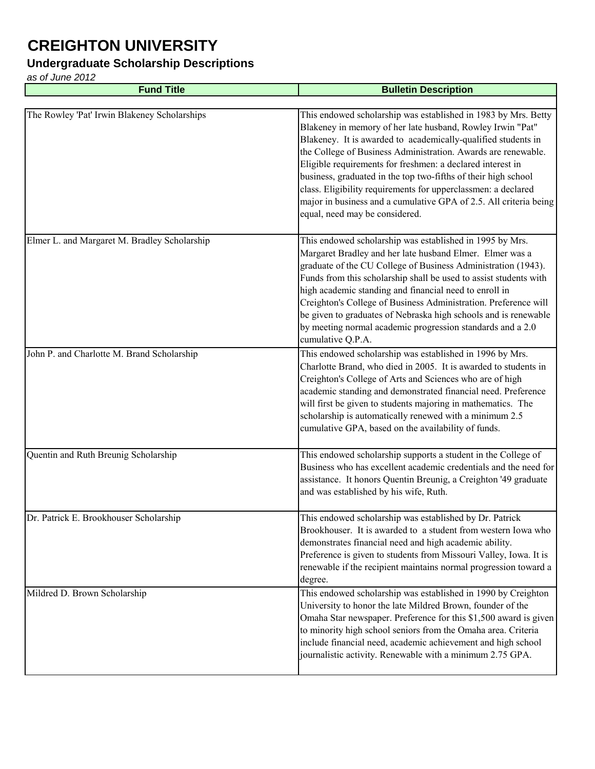### **Undergraduate Scholarship Descriptions**

| <b>Fund Title</b>                            | <b>Bulletin Description</b>                                                                                                                                                                                                                                                                                                                                                                                                                                                                                                                                            |
|----------------------------------------------|------------------------------------------------------------------------------------------------------------------------------------------------------------------------------------------------------------------------------------------------------------------------------------------------------------------------------------------------------------------------------------------------------------------------------------------------------------------------------------------------------------------------------------------------------------------------|
|                                              |                                                                                                                                                                                                                                                                                                                                                                                                                                                                                                                                                                        |
| The Rowley 'Pat' Irwin Blakeney Scholarships | This endowed scholarship was established in 1983 by Mrs. Betty<br>Blakeney in memory of her late husband, Rowley Irwin "Pat"<br>Blakeney. It is awarded to academically-qualified students in<br>the College of Business Administration. Awards are renewable.<br>Eligible requirements for freshmen: a declared interest in<br>business, graduated in the top two-fifths of their high school<br>class. Eligibility requirements for upperclassmen: a declared<br>major in business and a cumulative GPA of 2.5. All criteria being<br>equal, need may be considered. |
| Elmer L. and Margaret M. Bradley Scholarship | This endowed scholarship was established in 1995 by Mrs.<br>Margaret Bradley and her late husband Elmer. Elmer was a<br>graduate of the CU College of Business Administration (1943).<br>Funds from this scholarship shall be used to assist students with<br>high academic standing and financial need to enroll in<br>Creighton's College of Business Administration. Preference will<br>be given to graduates of Nebraska high schools and is renewable<br>by meeting normal academic progression standards and a 2.0<br>cumulative Q.P.A.                          |
| John P. and Charlotte M. Brand Scholarship   | This endowed scholarship was established in 1996 by Mrs.<br>Charlotte Brand, who died in 2005. It is awarded to students in<br>Creighton's College of Arts and Sciences who are of high<br>academic standing and demonstrated financial need. Preference<br>will first be given to students majoring in mathematics. The<br>scholarship is automatically renewed with a minimum 2.5<br>cumulative GPA, based on the availability of funds.                                                                                                                             |
| Quentin and Ruth Breunig Scholarship         | This endowed scholarship supports a student in the College of<br>Business who has excellent academic credentials and the need for<br>assistance. It honors Quentin Breunig, a Creighton '49 graduate<br>and was established by his wife, Ruth.                                                                                                                                                                                                                                                                                                                         |
| Dr. Patrick E. Brookhouser Scholarship       | This endowed scholarship was established by Dr. Patrick<br>Brookhouser. It is awarded to a student from western Iowa who<br>demonstrates financial need and high academic ability.<br>Preference is given to students from Missouri Valley, Iowa. It is<br>renewable if the recipient maintains normal progression toward a<br>degree.                                                                                                                                                                                                                                 |
| Mildred D. Brown Scholarship                 | This endowed scholarship was established in 1990 by Creighton<br>University to honor the late Mildred Brown, founder of the<br>Omaha Star newspaper. Preference for this \$1,500 award is given<br>to minority high school seniors from the Omaha area. Criteria<br>include financial need, academic achievement and high school<br>journalistic activity. Renewable with a minimum 2.75 GPA.                                                                                                                                                                          |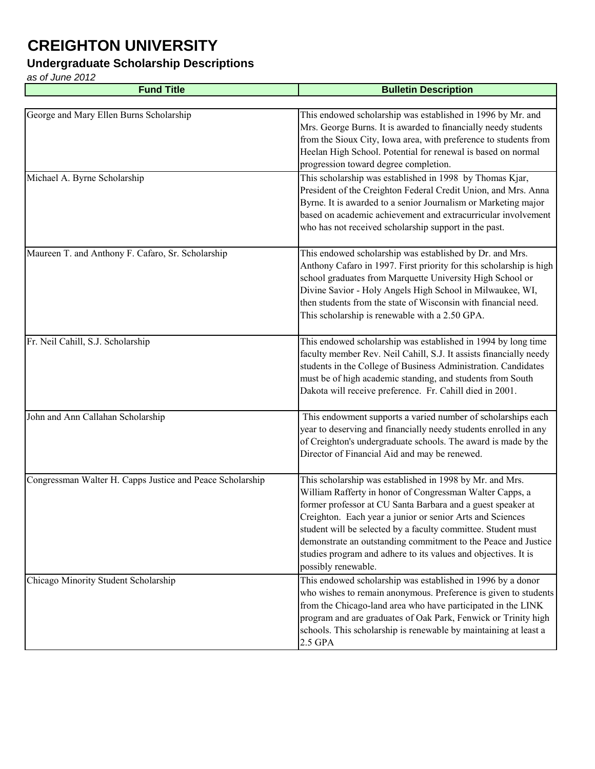### **Undergraduate Scholarship Descriptions**

| <b>Fund Title</b>                                         | <b>Bulletin Description</b>                                                                                                                                                                                                                                                                                                                                                                                                                                                  |
|-----------------------------------------------------------|------------------------------------------------------------------------------------------------------------------------------------------------------------------------------------------------------------------------------------------------------------------------------------------------------------------------------------------------------------------------------------------------------------------------------------------------------------------------------|
|                                                           |                                                                                                                                                                                                                                                                                                                                                                                                                                                                              |
| George and Mary Ellen Burns Scholarship                   | This endowed scholarship was established in 1996 by Mr. and<br>Mrs. George Burns. It is awarded to financially needy students<br>from the Sioux City, Iowa area, with preference to students from<br>Heelan High School. Potential for renewal is based on normal<br>progression toward degree completion.                                                                                                                                                                   |
| Michael A. Byrne Scholarship                              | This scholarship was established in 1998 by Thomas Kjar,<br>President of the Creighton Federal Credit Union, and Mrs. Anna<br>Byrne. It is awarded to a senior Journalism or Marketing major<br>based on academic achievement and extracurricular involvement<br>who has not received scholarship support in the past.                                                                                                                                                       |
| Maureen T. and Anthony F. Cafaro, Sr. Scholarship         | This endowed scholarship was established by Dr. and Mrs.<br>Anthony Cafaro in 1997. First priority for this scholarship is high<br>school graduates from Marquette University High School or<br>Divine Savior - Holy Angels High School in Milwaukee, WI,<br>then students from the state of Wisconsin with financial need.<br>This scholarship is renewable with a 2.50 GPA.                                                                                                |
| Fr. Neil Cahill, S.J. Scholarship                         | This endowed scholarship was established in 1994 by long time<br>faculty member Rev. Neil Cahill, S.J. It assists financially needy<br>students in the College of Business Administration. Candidates<br>must be of high academic standing, and students from South<br>Dakota will receive preference. Fr. Cahill died in 2001.                                                                                                                                              |
| John and Ann Callahan Scholarship                         | This endowment supports a varied number of scholarships each<br>year to deserving and financially needy students enrolled in any<br>of Creighton's undergraduate schools. The award is made by the<br>Director of Financial Aid and may be renewed.                                                                                                                                                                                                                          |
| Congressman Walter H. Capps Justice and Peace Scholarship | This scholarship was established in 1998 by Mr. and Mrs.<br>William Rafferty in honor of Congressman Walter Capps, a<br>former professor at CU Santa Barbara and a guest speaker at<br>Creighton. Each year a junior or senior Arts and Sciences<br>student will be selected by a faculty committee. Student must<br>demonstrate an outstanding commitment to the Peace and Justice<br>studies program and adhere to its values and objectives. It is<br>possibly renewable. |
| Chicago Minority Student Scholarship                      | This endowed scholarship was established in 1996 by a donor<br>who wishes to remain anonymous. Preference is given to students<br>from the Chicago-land area who have participated in the LINK<br>program and are graduates of Oak Park, Fenwick or Trinity high<br>schools. This scholarship is renewable by maintaining at least a<br>2.5 GPA                                                                                                                              |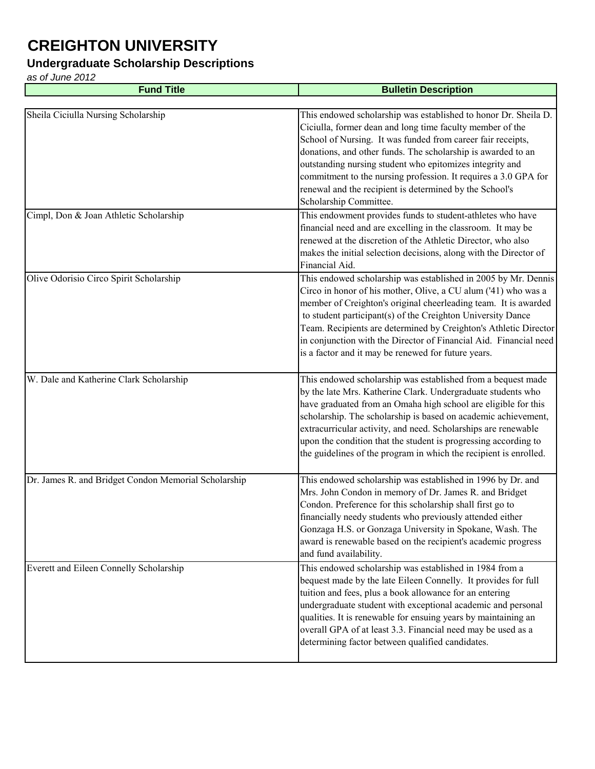#### **Undergraduate Scholarship Descriptions**

| <b>Fund Title</b>                                    | <b>Bulletin Description</b>                                                                                                                                                                                                                                                                                                                                                                                                                                                     |
|------------------------------------------------------|---------------------------------------------------------------------------------------------------------------------------------------------------------------------------------------------------------------------------------------------------------------------------------------------------------------------------------------------------------------------------------------------------------------------------------------------------------------------------------|
|                                                      |                                                                                                                                                                                                                                                                                                                                                                                                                                                                                 |
| Sheila Ciciulla Nursing Scholarship                  | This endowed scholarship was established to honor Dr. Sheila D.<br>Ciciulla, former dean and long time faculty member of the<br>School of Nursing. It was funded from career fair receipts,<br>donations, and other funds. The scholarship is awarded to an<br>outstanding nursing student who epitomizes integrity and<br>commitment to the nursing profession. It requires a 3.0 GPA for<br>renewal and the recipient is determined by the School's<br>Scholarship Committee. |
| Cimpl, Don & Joan Athletic Scholarship               | This endowment provides funds to student-athletes who have<br>financial need and are excelling in the classroom. It may be<br>renewed at the discretion of the Athletic Director, who also<br>makes the initial selection decisions, along with the Director of<br>Financial Aid.                                                                                                                                                                                               |
| Olive Odorisio Circo Spirit Scholarship              | This endowed scholarship was established in 2005 by Mr. Dennis<br>Circo in honor of his mother, Olive, a CU alum ('41) who was a<br>member of Creighton's original cheerleading team. It is awarded<br>to student participant(s) of the Creighton University Dance<br>Team. Recipients are determined by Creighton's Athletic Director<br>in conjunction with the Director of Financial Aid. Financial need<br>is a factor and it may be renewed for future years.              |
| W. Dale and Katherine Clark Scholarship              | This endowed scholarship was established from a bequest made<br>by the late Mrs. Katherine Clark. Undergraduate students who<br>have graduated from an Omaha high school are eligible for this<br>scholarship. The scholarship is based on academic achievement,<br>extracurricular activity, and need. Scholarships are renewable<br>upon the condition that the student is progressing according to<br>the guidelines of the program in which the recipient is enrolled.      |
| Dr. James R. and Bridget Condon Memorial Scholarship | This endowed scholarship was established in 1996 by Dr. and<br>Mrs. John Condon in memory of Dr. James R. and Bridget<br>Condon. Preference for this scholarship shall first go to<br>financially needy students who previously attended either<br>Gonzaga H.S. or Gonzaga University in Spokane, Wash. The<br>award is renewable based on the recipient's academic progress<br>and fund availability.                                                                          |
| Everett and Eileen Connelly Scholarship              | This endowed scholarship was established in 1984 from a<br>bequest made by the late Eileen Connelly. It provides for full<br>tuition and fees, plus a book allowance for an entering<br>undergraduate student with exceptional academic and personal<br>qualities. It is renewable for ensuing years by maintaining an<br>overall GPA of at least 3.3. Financial need may be used as a<br>determining factor between qualified candidates.                                      |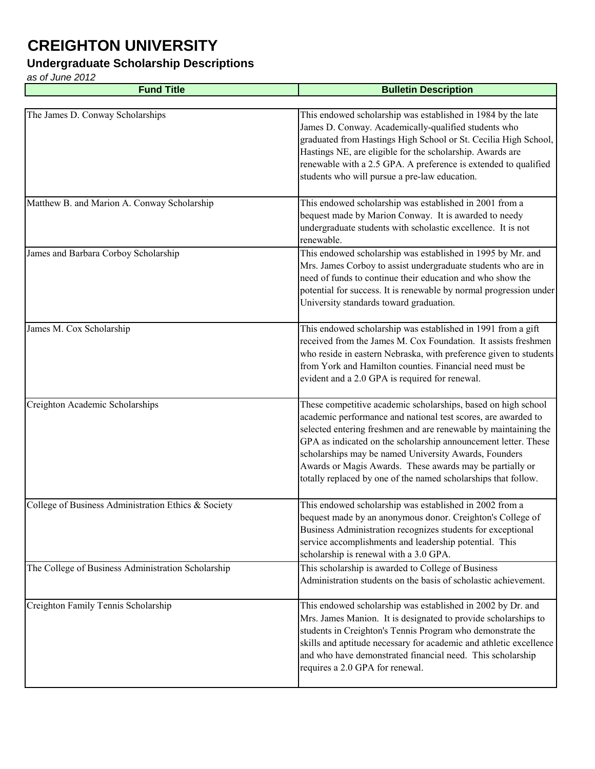#### **Undergraduate Scholarship Descriptions**

| <b>Fund Title</b>                                   | <b>Bulletin Description</b>                                                                                                                                                                                                                                                                                                                                                                                                                                |
|-----------------------------------------------------|------------------------------------------------------------------------------------------------------------------------------------------------------------------------------------------------------------------------------------------------------------------------------------------------------------------------------------------------------------------------------------------------------------------------------------------------------------|
|                                                     |                                                                                                                                                                                                                                                                                                                                                                                                                                                            |
| The James D. Conway Scholarships                    | This endowed scholarship was established in 1984 by the late<br>James D. Conway. Academically-qualified students who<br>graduated from Hastings High School or St. Cecilia High School,<br>Hastings NE, are eligible for the scholarship. Awards are<br>renewable with a 2.5 GPA. A preference is extended to qualified<br>students who will pursue a pre-law education.                                                                                   |
| Matthew B. and Marion A. Conway Scholarship         | This endowed scholarship was established in 2001 from a<br>bequest made by Marion Conway. It is awarded to needy<br>undergraduate students with scholastic excellence. It is not<br>renewable.                                                                                                                                                                                                                                                             |
| James and Barbara Corboy Scholarship                | This endowed scholarship was established in 1995 by Mr. and<br>Mrs. James Corboy to assist undergraduate students who are in<br>need of funds to continue their education and who show the<br>potential for success. It is renewable by normal progression under<br>University standards toward graduation.                                                                                                                                                |
| James M. Cox Scholarship                            | This endowed scholarship was established in 1991 from a gift<br>received from the James M. Cox Foundation. It assists freshmen<br>who reside in eastern Nebraska, with preference given to students<br>from York and Hamilton counties. Financial need must be<br>evident and a 2.0 GPA is required for renewal.                                                                                                                                           |
| Creighton Academic Scholarships                     | These competitive academic scholarships, based on high school<br>academic performance and national test scores, are awarded to<br>selected entering freshmen and are renewable by maintaining the<br>GPA as indicated on the scholarship announcement letter. These<br>scholarships may be named University Awards, Founders<br>Awards or Magis Awards. These awards may be partially or<br>totally replaced by one of the named scholarships that follow. |
| College of Business Administration Ethics & Society | This endowed scholarship was established in 2002 from a<br>bequest made by an anonymous donor. Creighton's College of<br>Business Administration recognizes students for exceptional<br>service accomplishments and leadership potential. This<br>scholarship is renewal with a 3.0 GPA.                                                                                                                                                                   |
| The College of Business Administration Scholarship  | This scholarship is awarded to College of Business<br>Administration students on the basis of scholastic achievement.                                                                                                                                                                                                                                                                                                                                      |
| Creighton Family Tennis Scholarship                 | This endowed scholarship was established in 2002 by Dr. and<br>Mrs. James Manion. It is designated to provide scholarships to<br>students in Creighton's Tennis Program who demonstrate the<br>skills and aptitude necessary for academic and athletic excellence<br>and who have demonstrated financial need. This scholarship<br>requires a 2.0 GPA for renewal.                                                                                         |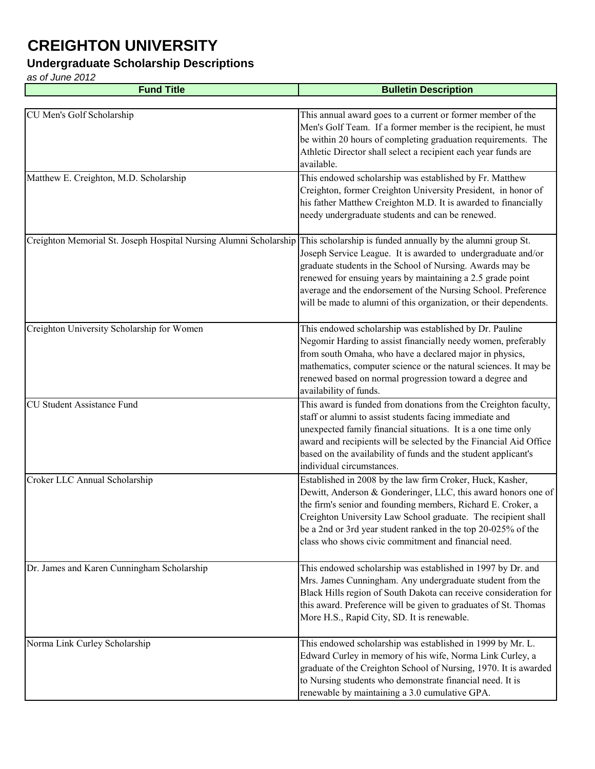### **Undergraduate Scholarship Descriptions**

*as of June 2012* **Fund Title Bulletin Description** CU Men's Golf Scholarship This annual award goes to a current or former member of the Men's Golf Team. If a former member is the recipient, he must be within 20 hours of completing graduation requirements. The Athletic Director shall select a recipient each year funds are available. Matthew E. Creighton, M.D. Scholarship This endowed scholarship was established by Fr. Matthew Creighton, former Creighton University President, in honor of his father Matthew Creighton M.D. It is awarded to financially needy undergraduate students and can be renewed. Creighton Memorial St. Joseph Hospital Nursing Alumni Scholarship This scholarship is funded annually by the alumni group St. Joseph Service League. It is awarded to undergraduate and/or graduate students in the School of Nursing. Awards may be renewed for ensuing years by maintaining a 2.5 grade point average and the endorsement of the Nursing School. Preference will be made to alumni of this organization, or their dependents. Creighton University Scholarship for Women This endowed scholarship was established by Dr. Pauline Negomir Harding to assist financially needy women, preferably from south Omaha, who have a declared major in physics, mathematics, computer science or the natural sciences. It may be renewed based on normal progression toward a degree and availability of funds. CU Student Assistance Fund This award is funded from donations from the Creighton faculty, staff or alumni to assist students facing immediate and unexpected family financial situations. It is a one time only award and recipients will be selected by the Financial Aid Office based on the availability of funds and the student applicant's individual circumstances. Croker LLC Annual Scholarship Established in 2008 by the law firm Croker, Huck, Kasher, Dewitt, Anderson & Gonderinger, LLC, this award honors one of the firm's senior and founding members, Richard E. Croker, a Creighton University Law School graduate. The recipient shall be a 2nd or 3rd year student ranked in the top 20-025% of the class who shows civic commitment and financial need. Dr. James and Karen Cunningham Scholarship This endowed scholarship was established in 1997 by Dr. and Mrs. James Cunningham. Any undergraduate student from the Black Hills region of South Dakota can receive consideration for this award. Preference will be given to graduates of St. Thomas More H.S., Rapid City, SD. It is renewable. Norma Link Curley Scholarship This endowed scholarship was established in 1999 by Mr. L. Edward Curley in memory of his wife, Norma Link Curley, a graduate of the Creighton School of Nursing, 1970. It is awarded to Nursing students who demonstrate financial need. It is renewable by maintaining a 3.0 cumulative GPA.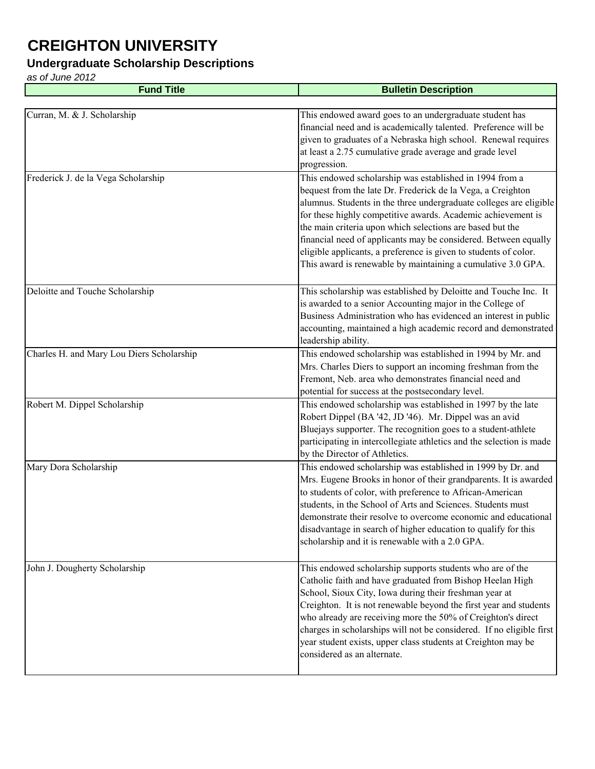#### **Undergraduate Scholarship Descriptions**

| <b>Fund Title</b>                         | <b>Bulletin Description</b>                                                                                                                                                                                                                                                                                                                                                                                                                                                                                                      |
|-------------------------------------------|----------------------------------------------------------------------------------------------------------------------------------------------------------------------------------------------------------------------------------------------------------------------------------------------------------------------------------------------------------------------------------------------------------------------------------------------------------------------------------------------------------------------------------|
|                                           |                                                                                                                                                                                                                                                                                                                                                                                                                                                                                                                                  |
| Curran, M. & J. Scholarship               | This endowed award goes to an undergraduate student has<br>financial need and is academically talented. Preference will be<br>given to graduates of a Nebraska high school. Renewal requires<br>at least a 2.75 cumulative grade average and grade level<br>progression.                                                                                                                                                                                                                                                         |
| Frederick J. de la Vega Scholarship       | This endowed scholarship was established in 1994 from a<br>bequest from the late Dr. Frederick de la Vega, a Creighton<br>alumnus. Students in the three undergraduate colleges are eligible<br>for these highly competitive awards. Academic achievement is<br>the main criteria upon which selections are based but the<br>financial need of applicants may be considered. Between equally<br>eligible applicants, a preference is given to students of color.<br>This award is renewable by maintaining a cumulative 3.0 GPA. |
| Deloitte and Touche Scholarship           | This scholarship was established by Deloitte and Touche Inc. It<br>is awarded to a senior Accounting major in the College of<br>Business Administration who has evidenced an interest in public<br>accounting, maintained a high academic record and demonstrated<br>leadership ability.                                                                                                                                                                                                                                         |
| Charles H. and Mary Lou Diers Scholarship | This endowed scholarship was established in 1994 by Mr. and<br>Mrs. Charles Diers to support an incoming freshman from the<br>Fremont, Neb. area who demonstrates financial need and<br>potential for success at the postsecondary level.                                                                                                                                                                                                                                                                                        |
| Robert M. Dippel Scholarship              | This endowed scholarship was established in 1997 by the late<br>Robert Dippel (BA '42, JD '46). Mr. Dippel was an avid<br>Bluejays supporter. The recognition goes to a student-athlete<br>participating in intercollegiate athletics and the selection is made<br>by the Director of Athletics.                                                                                                                                                                                                                                 |
| Mary Dora Scholarship                     | This endowed scholarship was established in 1999 by Dr. and<br>Mrs. Eugene Brooks in honor of their grandparents. It is awarded<br>to students of color, with preference to African-American<br>students, in the School of Arts and Sciences. Students must<br>demonstrate their resolve to overcome economic and educational<br>disadvantage in search of higher education to qualify for this<br>scholarship and it is renewable with a 2.0 GPA.                                                                               |
| John J. Dougherty Scholarship             | This endowed scholarship supports students who are of the<br>Catholic faith and have graduated from Bishop Heelan High<br>School, Sioux City, Iowa during their freshman year at<br>Creighton. It is not renewable beyond the first year and students<br>who already are receiving more the 50% of Creighton's direct<br>charges in scholarships will not be considered. If no eligible first<br>year student exists, upper class students at Creighton may be<br>considered as an alternate.                                    |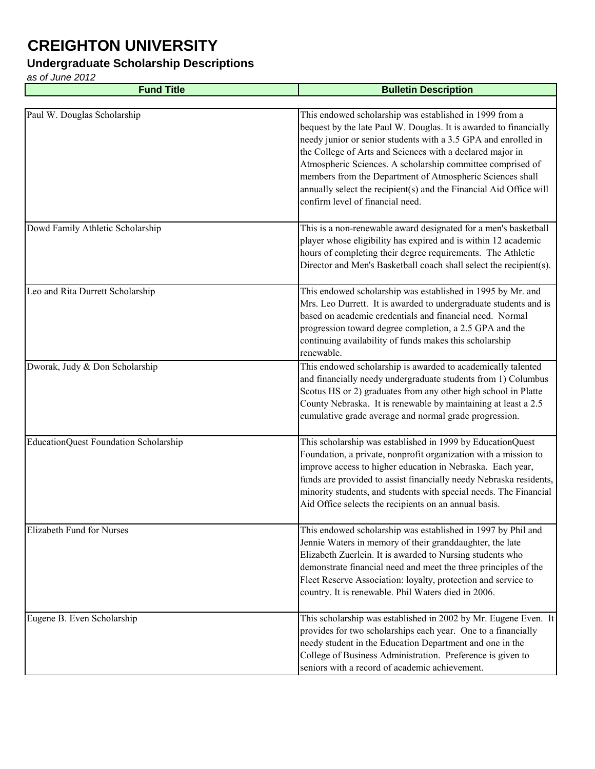#### **Undergraduate Scholarship Descriptions**

| <b>Fund Title</b>                     | <b>Bulletin Description</b>                                                                                                                                                                                                                                                                                                                                                                                                                                                                      |
|---------------------------------------|--------------------------------------------------------------------------------------------------------------------------------------------------------------------------------------------------------------------------------------------------------------------------------------------------------------------------------------------------------------------------------------------------------------------------------------------------------------------------------------------------|
|                                       |                                                                                                                                                                                                                                                                                                                                                                                                                                                                                                  |
| Paul W. Douglas Scholarship           | This endowed scholarship was established in 1999 from a<br>bequest by the late Paul W. Douglas. It is awarded to financially<br>needy junior or senior students with a 3.5 GPA and enrolled in<br>the College of Arts and Sciences with a declared major in<br>Atmospheric Sciences. A scholarship committee comprised of<br>members from the Department of Atmospheric Sciences shall<br>annually select the recipient(s) and the Financial Aid Office will<br>confirm level of financial need. |
| Dowd Family Athletic Scholarship      | This is a non-renewable award designated for a men's basketball<br>player whose eligibility has expired and is within 12 academic<br>hours of completing their degree requirements. The Athletic<br>Director and Men's Basketball coach shall select the recipient(s).                                                                                                                                                                                                                           |
| Leo and Rita Durrett Scholarship      | This endowed scholarship was established in 1995 by Mr. and<br>Mrs. Leo Durrett. It is awarded to undergraduate students and is<br>based on academic credentials and financial need. Normal<br>progression toward degree completion, a 2.5 GPA and the<br>continuing availability of funds makes this scholarship<br>renewable.                                                                                                                                                                  |
| Dworak, Judy & Don Scholarship        | This endowed scholarship is awarded to academically talented<br>and financially needy undergraduate students from 1) Columbus<br>Scotus HS or 2) graduates from any other high school in Platte<br>County Nebraska. It is renewable by maintaining at least a 2.5<br>cumulative grade average and normal grade progression.                                                                                                                                                                      |
| EducationQuest Foundation Scholarship | This scholarship was established in 1999 by EducationQuest<br>Foundation, a private, nonprofit organization with a mission to<br>improve access to higher education in Nebraska. Each year,<br>funds are provided to assist financially needy Nebraska residents,<br>minority students, and students with special needs. The Financial<br>Aid Office selects the recipients on an annual basis.                                                                                                  |
| <b>Elizabeth Fund for Nurses</b>      | This endowed scholarship was established in 1997 by Phil and<br>Jennie Waters in memory of their granddaughter, the late<br>Elizabeth Zuerlein. It is awarded to Nursing students who<br>demonstrate financial need and meet the three principles of the<br>Fleet Reserve Association: loyalty, protection and service to<br>country. It is renewable. Phil Waters died in 2006.                                                                                                                 |
| Eugene B. Even Scholarship            | This scholarship was established in 2002 by Mr. Eugene Even. It<br>provides for two scholarships each year. One to a financially<br>needy student in the Education Department and one in the<br>College of Business Administration. Preference is given to<br>seniors with a record of academic achievement.                                                                                                                                                                                     |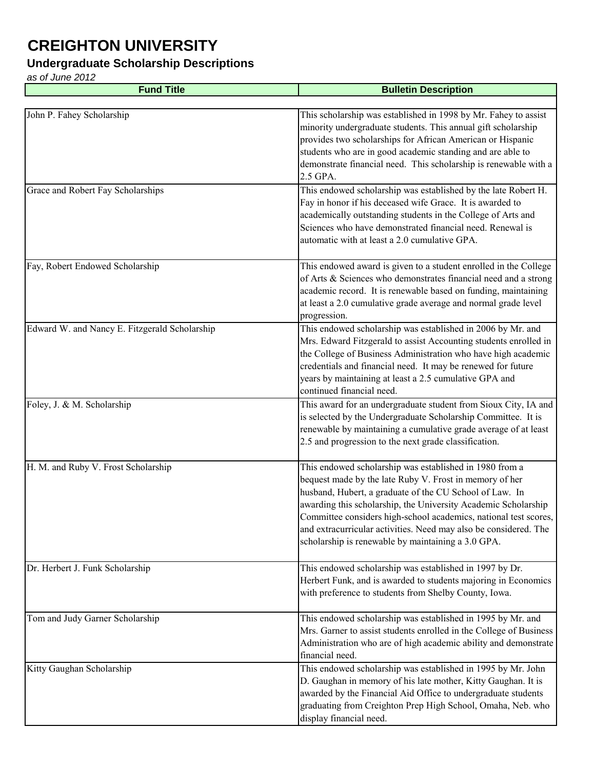#### **Undergraduate Scholarship Descriptions**

| <b>Fund Title</b>                             | <b>Bulletin Description</b>                                                                                                                                                                                                                                                                                                                                                                                                                   |
|-----------------------------------------------|-----------------------------------------------------------------------------------------------------------------------------------------------------------------------------------------------------------------------------------------------------------------------------------------------------------------------------------------------------------------------------------------------------------------------------------------------|
|                                               |                                                                                                                                                                                                                                                                                                                                                                                                                                               |
| John P. Fahey Scholarship                     | This scholarship was established in 1998 by Mr. Fahey to assist<br>minority undergraduate students. This annual gift scholarship<br>provides two scholarships for African American or Hispanic<br>students who are in good academic standing and are able to<br>demonstrate financial need. This scholarship is renewable with a<br>2.5 GPA.                                                                                                  |
| Grace and Robert Fay Scholarships             | This endowed scholarship was established by the late Robert H.<br>Fay in honor if his deceased wife Grace. It is awarded to<br>academically outstanding students in the College of Arts and<br>Sciences who have demonstrated financial need. Renewal is<br>automatic with at least a 2.0 cumulative GPA.                                                                                                                                     |
| Fay, Robert Endowed Scholarship               | This endowed award is given to a student enrolled in the College<br>of Arts & Sciences who demonstrates financial need and a strong<br>academic record. It is renewable based on funding, maintaining<br>at least a 2.0 cumulative grade average and normal grade level<br>progression.                                                                                                                                                       |
| Edward W. and Nancy E. Fitzgerald Scholarship | This endowed scholarship was established in 2006 by Mr. and<br>Mrs. Edward Fitzgerald to assist Accounting students enrolled in<br>the College of Business Administration who have high academic<br>credentials and financial need. It may be renewed for future<br>years by maintaining at least a 2.5 cumulative GPA and<br>continued financial need.                                                                                       |
| Foley, J. & M. Scholarship                    | This award for an undergraduate student from Sioux City, IA and<br>is selected by the Undergraduate Scholarship Committee. It is<br>renewable by maintaining a cumulative grade average of at least<br>2.5 and progression to the next grade classification.                                                                                                                                                                                  |
| H. M. and Ruby V. Frost Scholarship           | This endowed scholarship was established in 1980 from a<br>bequest made by the late Ruby V. Frost in memory of her<br>husband, Hubert, a graduate of the CU School of Law. In<br>awarding this scholarship, the University Academic Scholarship<br>Committee considers high-school academics, national test scores,<br>and extracurricular activities. Need may also be considered. The<br>scholarship is renewable by maintaining a 3.0 GPA. |
| Dr. Herbert J. Funk Scholarship               | This endowed scholarship was established in 1997 by Dr.<br>Herbert Funk, and is awarded to students majoring in Economics<br>with preference to students from Shelby County, Iowa.                                                                                                                                                                                                                                                            |
| Tom and Judy Garner Scholarship               | This endowed scholarship was established in 1995 by Mr. and<br>Mrs. Garner to assist students enrolled in the College of Business<br>Administration who are of high academic ability and demonstrate<br>financial need.                                                                                                                                                                                                                       |
| Kitty Gaughan Scholarship                     | This endowed scholarship was established in 1995 by Mr. John<br>D. Gaughan in memory of his late mother, Kitty Gaughan. It is<br>awarded by the Financial Aid Office to undergraduate students<br>graduating from Creighton Prep High School, Omaha, Neb. who<br>display financial need.                                                                                                                                                      |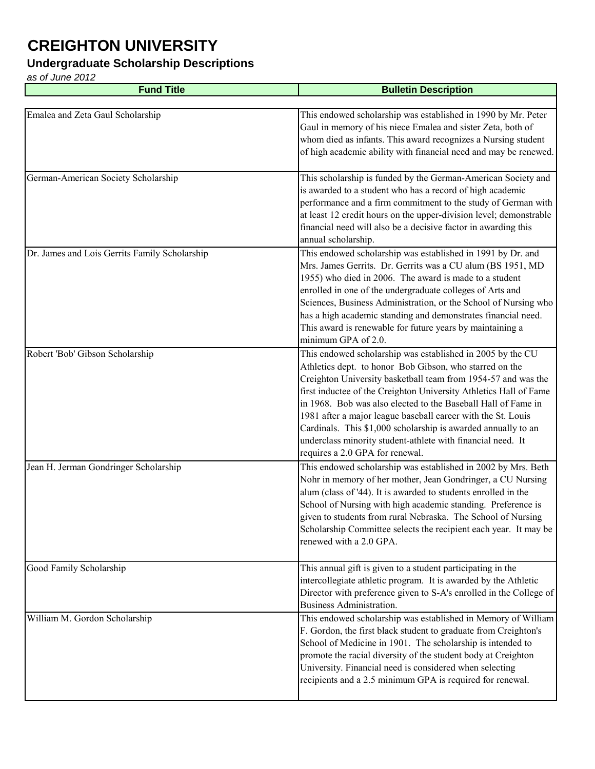#### **Undergraduate Scholarship Descriptions**

| <b>Fund Title</b>                             | <b>Bulletin Description</b>                                                                                                                                                                                                                                                                                                                                                                                                                                                                                                                                     |
|-----------------------------------------------|-----------------------------------------------------------------------------------------------------------------------------------------------------------------------------------------------------------------------------------------------------------------------------------------------------------------------------------------------------------------------------------------------------------------------------------------------------------------------------------------------------------------------------------------------------------------|
|                                               |                                                                                                                                                                                                                                                                                                                                                                                                                                                                                                                                                                 |
| Emalea and Zeta Gaul Scholarship              | This endowed scholarship was established in 1990 by Mr. Peter<br>Gaul in memory of his niece Emalea and sister Zeta, both of<br>whom died as infants. This award recognizes a Nursing student<br>of high academic ability with financial need and may be renewed.                                                                                                                                                                                                                                                                                               |
| German-American Society Scholarship           | This scholarship is funded by the German-American Society and<br>is awarded to a student who has a record of high academic<br>performance and a firm commitment to the study of German with<br>at least 12 credit hours on the upper-division level; demonstrable<br>financial need will also be a decisive factor in awarding this<br>annual scholarship.                                                                                                                                                                                                      |
| Dr. James and Lois Gerrits Family Scholarship | This endowed scholarship was established in 1991 by Dr. and<br>Mrs. James Gerrits. Dr. Gerrits was a CU alum (BS 1951, MD<br>1955) who died in 2006. The award is made to a student<br>enrolled in one of the undergraduate colleges of Arts and<br>Sciences, Business Administration, or the School of Nursing who<br>has a high academic standing and demonstrates financial need.<br>This award is renewable for future years by maintaining a<br>minimum GPA of 2.0.                                                                                        |
| Robert 'Bob' Gibson Scholarship               | This endowed scholarship was established in 2005 by the CU<br>Athletics dept. to honor Bob Gibson, who starred on the<br>Creighton University basketball team from 1954-57 and was the<br>first inductee of the Creighton University Athletics Hall of Fame<br>in 1968. Bob was also elected to the Baseball Hall of Fame in<br>1981 after a major league baseball career with the St. Louis<br>Cardinals. This \$1,000 scholarship is awarded annually to an<br>underclass minority student-athlete with financial need. It<br>requires a 2.0 GPA for renewal. |
| Jean H. Jerman Gondringer Scholarship         | This endowed scholarship was established in 2002 by Mrs. Beth<br>Nohr in memory of her mother, Jean Gondringer, a CU Nursing<br>alum (class of '44). It is awarded to students enrolled in the<br>School of Nursing with high academic standing. Preference is<br>given to students from rural Nebraska. The School of Nursing<br>Scholarship Committee selects the recipient each year. It may be<br>renewed with a 2.0 GPA.                                                                                                                                   |
| Good Family Scholarship                       | This annual gift is given to a student participating in the<br>intercollegiate athletic program. It is awarded by the Athletic<br>Director with preference given to S-A's enrolled in the College of<br><b>Business Administration.</b>                                                                                                                                                                                                                                                                                                                         |
| William M. Gordon Scholarship                 | This endowed scholarship was established in Memory of William<br>F. Gordon, the first black student to graduate from Creighton's<br>School of Medicine in 1901. The scholarship is intended to<br>promote the racial diversity of the student body at Creighton<br>University. Financial need is considered when selecting<br>recipients and a 2.5 minimum GPA is required for renewal.                                                                                                                                                                         |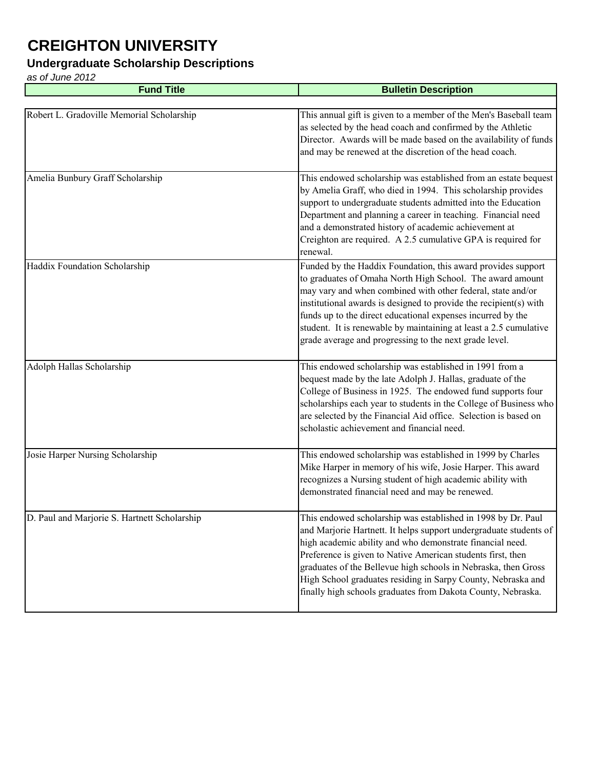### **Undergraduate Scholarship Descriptions**

| <b>Fund Title</b>                            | <b>Bulletin Description</b>                                                                                                                                                                                                                                                                                                                                                                                                                                     |
|----------------------------------------------|-----------------------------------------------------------------------------------------------------------------------------------------------------------------------------------------------------------------------------------------------------------------------------------------------------------------------------------------------------------------------------------------------------------------------------------------------------------------|
|                                              |                                                                                                                                                                                                                                                                                                                                                                                                                                                                 |
| Robert L. Gradoville Memorial Scholarship    | This annual gift is given to a member of the Men's Baseball team<br>as selected by the head coach and confirmed by the Athletic<br>Director. Awards will be made based on the availability of funds<br>and may be renewed at the discretion of the head coach.                                                                                                                                                                                                  |
| Amelia Bunbury Graff Scholarship             | This endowed scholarship was established from an estate bequest<br>by Amelia Graff, who died in 1994. This scholarship provides<br>support to undergraduate students admitted into the Education<br>Department and planning a career in teaching. Financial need<br>and a demonstrated history of academic achievement at<br>Creighton are required. A 2.5 cumulative GPA is required for<br>renewal.                                                           |
| Haddix Foundation Scholarship                | Funded by the Haddix Foundation, this award provides support<br>to graduates of Omaha North High School. The award amount<br>may vary and when combined with other federal, state and/or<br>institutional awards is designed to provide the recipient(s) with<br>funds up to the direct educational expenses incurred by the<br>student. It is renewable by maintaining at least a 2.5 cumulative<br>grade average and progressing to the next grade level.     |
| Adolph Hallas Scholarship                    | This endowed scholarship was established in 1991 from a<br>bequest made by the late Adolph J. Hallas, graduate of the<br>College of Business in 1925. The endowed fund supports four<br>scholarships each year to students in the College of Business who<br>are selected by the Financial Aid office. Selection is based on<br>scholastic achievement and financial need.                                                                                      |
| Josie Harper Nursing Scholarship             | This endowed scholarship was established in 1999 by Charles<br>Mike Harper in memory of his wife, Josie Harper. This award<br>recognizes a Nursing student of high academic ability with<br>demonstrated financial need and may be renewed.                                                                                                                                                                                                                     |
| D. Paul and Marjorie S. Hartnett Scholarship | This endowed scholarship was established in 1998 by Dr. Paul<br>and Marjorie Hartnett. It helps support undergraduate students of<br>high academic ability and who demonstrate financial need.<br>Preference is given to Native American students first, then<br>graduates of the Bellevue high schools in Nebraska, then Gross<br>High School graduates residing in Sarpy County, Nebraska and<br>finally high schools graduates from Dakota County, Nebraska. |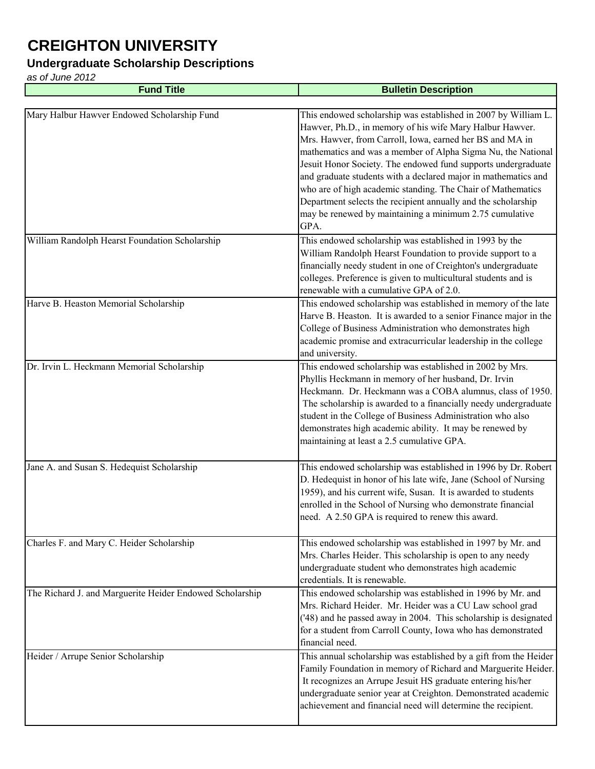#### **Undergraduate Scholarship Descriptions**

| <b>Fund Title</b>                                        | <b>Bulletin Description</b>                                                                                                                                                                                                                                                                                                                                                                                                                                                                                                                                                                  |
|----------------------------------------------------------|----------------------------------------------------------------------------------------------------------------------------------------------------------------------------------------------------------------------------------------------------------------------------------------------------------------------------------------------------------------------------------------------------------------------------------------------------------------------------------------------------------------------------------------------------------------------------------------------|
|                                                          |                                                                                                                                                                                                                                                                                                                                                                                                                                                                                                                                                                                              |
| Mary Halbur Hawver Endowed Scholarship Fund              | This endowed scholarship was established in 2007 by William L.<br>Hawver, Ph.D., in memory of his wife Mary Halbur Hawver.<br>Mrs. Hawver, from Carroll, Iowa, earned her BS and MA in<br>mathematics and was a member of Alpha Sigma Nu, the National<br>Jesuit Honor Society. The endowed fund supports undergraduate<br>and graduate students with a declared major in mathematics and<br>who are of high academic standing. The Chair of Mathematics<br>Department selects the recipient annually and the scholarship<br>may be renewed by maintaining a minimum 2.75 cumulative<br>GPA. |
| William Randolph Hearst Foundation Scholarship           | This endowed scholarship was established in 1993 by the<br>William Randolph Hearst Foundation to provide support to a<br>financially needy student in one of Creighton's undergraduate<br>colleges. Preference is given to multicultural students and is<br>renewable with a cumulative GPA of 2.0.                                                                                                                                                                                                                                                                                          |
| Harve B. Heaston Memorial Scholarship                    | This endowed scholarship was established in memory of the late<br>Harve B. Heaston. It is awarded to a senior Finance major in the<br>College of Business Administration who demonstrates high<br>academic promise and extracurricular leadership in the college<br>and university.                                                                                                                                                                                                                                                                                                          |
| Dr. Irvin L. Heckmann Memorial Scholarship               | This endowed scholarship was established in 2002 by Mrs.<br>Phyllis Heckmann in memory of her husband, Dr. Irvin<br>Heckmann. Dr. Heckmann was a COBA alumnus, class of 1950.<br>The scholarship is awarded to a financially needy undergraduate<br>student in the College of Business Administration who also<br>demonstrates high academic ability. It may be renewed by<br>maintaining at least a 2.5 cumulative GPA.                                                                                                                                                                     |
| Jane A. and Susan S. Hedequist Scholarship               | This endowed scholarship was established in 1996 by Dr. Robert<br>D. Hedequist in honor of his late wife, Jane (School of Nursing<br>1959), and his current wife, Susan. It is awarded to students<br>enrolled in the School of Nursing who demonstrate financial<br>need. A 2.50 GPA is required to renew this award.                                                                                                                                                                                                                                                                       |
| Charles F. and Mary C. Heider Scholarship                | This endowed scholarship was established in 1997 by Mr. and<br>Mrs. Charles Heider. This scholarship is open to any needy<br>undergraduate student who demonstrates high academic<br>credentials. It is renewable.                                                                                                                                                                                                                                                                                                                                                                           |
| The Richard J. and Marguerite Heider Endowed Scholarship | This endowed scholarship was established in 1996 by Mr. and<br>Mrs. Richard Heider. Mr. Heider was a CU Law school grad<br>('48) and he passed away in 2004. This scholarship is designated<br>for a student from Carroll County, Iowa who has demonstrated<br>financial need.                                                                                                                                                                                                                                                                                                               |
| Heider / Arrupe Senior Scholarship                       | This annual scholarship was established by a gift from the Heider<br>Family Foundation in memory of Richard and Marguerite Heider.<br>It recognizes an Arrupe Jesuit HS graduate entering his/her<br>undergraduate senior year at Creighton. Demonstrated academic<br>achievement and financial need will determine the recipient.                                                                                                                                                                                                                                                           |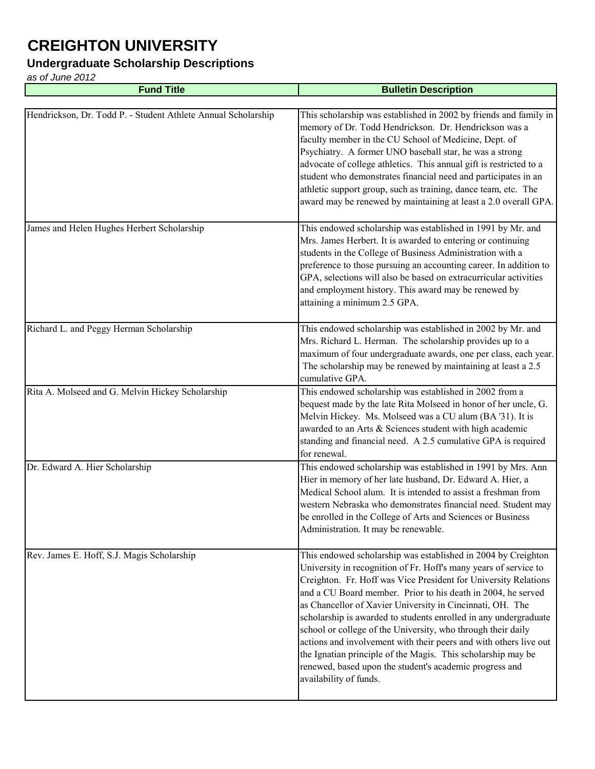### **Undergraduate Scholarship Descriptions**

| <b>Fund Title</b>                                             | <b>Bulletin Description</b>                                                                                                                                                                                                                                                                                                                                                                                                                                                                                                                                                                                                                                                                     |
|---------------------------------------------------------------|-------------------------------------------------------------------------------------------------------------------------------------------------------------------------------------------------------------------------------------------------------------------------------------------------------------------------------------------------------------------------------------------------------------------------------------------------------------------------------------------------------------------------------------------------------------------------------------------------------------------------------------------------------------------------------------------------|
|                                                               |                                                                                                                                                                                                                                                                                                                                                                                                                                                                                                                                                                                                                                                                                                 |
| Hendrickson, Dr. Todd P. - Student Athlete Annual Scholarship | This scholarship was established in 2002 by friends and family in<br>memory of Dr. Todd Hendrickson. Dr. Hendrickson was a<br>faculty member in the CU School of Medicine, Dept. of<br>Psychiatry. A former UNO baseball star, he was a strong<br>advocate of college athletics. This annual gift is restricted to a<br>student who demonstrates financial need and participates in an<br>athletic support group, such as training, dance team, etc. The<br>award may be renewed by maintaining at least a 2.0 overall GPA.                                                                                                                                                                     |
| James and Helen Hughes Herbert Scholarship                    | This endowed scholarship was established in 1991 by Mr. and<br>Mrs. James Herbert. It is awarded to entering or continuing<br>students in the College of Business Administration with a<br>preference to those pursuing an accounting career. In addition to<br>GPA, selections will also be based on extracurricular activities<br>and employment history. This award may be renewed by<br>attaining a minimum 2.5 GPA.                                                                                                                                                                                                                                                                        |
| Richard L. and Peggy Herman Scholarship                       | This endowed scholarship was established in 2002 by Mr. and<br>Mrs. Richard L. Herman. The scholarship provides up to a<br>maximum of four undergraduate awards, one per class, each year.<br>The scholarship may be renewed by maintaining at least a 2.5<br>cumulative GPA.                                                                                                                                                                                                                                                                                                                                                                                                                   |
| Rita A. Molseed and G. Melvin Hickey Scholarship              | This endowed scholarship was established in 2002 from a<br>bequest made by the late Rita Molseed in honor of her uncle, G.<br>Melvin Hickey. Ms. Molseed was a CU alum (BA '31). It is<br>awarded to an Arts & Sciences student with high academic<br>standing and financial need. A 2.5 cumulative GPA is required<br>for renewal.                                                                                                                                                                                                                                                                                                                                                             |
| Dr. Edward A. Hier Scholarship                                | This endowed scholarship was established in 1991 by Mrs. Ann<br>Hier in memory of her late husband, Dr. Edward A. Hier, a<br>Medical School alum. It is intended to assist a freshman from<br>western Nebraska who demonstrates financial need. Student may<br>be enrolled in the College of Arts and Sciences or Business<br>Administration. It may be renewable.                                                                                                                                                                                                                                                                                                                              |
| Rev. James E. Hoff, S.J. Magis Scholarship                    | This endowed scholarship was established in 2004 by Creighton<br>University in recognition of Fr. Hoff's many years of service to<br>Creighton. Fr. Hoff was Vice President for University Relations<br>and a CU Board member. Prior to his death in 2004, he served<br>as Chancellor of Xavier University in Cincinnati, OH. The<br>scholarship is awarded to students enrolled in any undergraduate<br>school or college of the University, who through their daily<br>actions and involvement with their peers and with others live out<br>the Ignatian principle of the Magis. This scholarship may be<br>renewed, based upon the student's academic progress and<br>availability of funds. |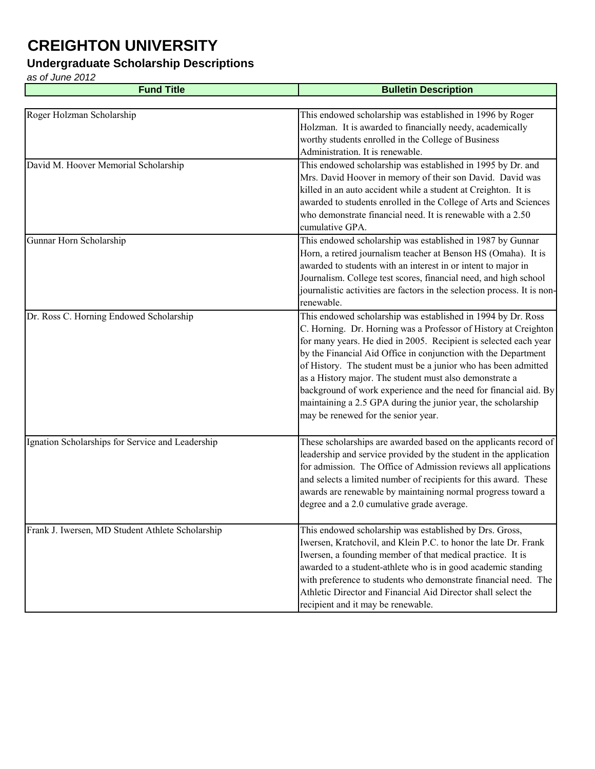#### **Undergraduate Scholarship Descriptions**

| <b>Fund Title</b>                                | <b>Bulletin Description</b>                                                                                                                                                                                                                                                                                                                                                                                                                                                                                                                                                    |
|--------------------------------------------------|--------------------------------------------------------------------------------------------------------------------------------------------------------------------------------------------------------------------------------------------------------------------------------------------------------------------------------------------------------------------------------------------------------------------------------------------------------------------------------------------------------------------------------------------------------------------------------|
|                                                  |                                                                                                                                                                                                                                                                                                                                                                                                                                                                                                                                                                                |
| Roger Holzman Scholarship                        | This endowed scholarship was established in 1996 by Roger<br>Holzman. It is awarded to financially needy, academically<br>worthy students enrolled in the College of Business<br>Administration. It is renewable.                                                                                                                                                                                                                                                                                                                                                              |
| David M. Hoover Memorial Scholarship             | This endowed scholarship was established in 1995 by Dr. and<br>Mrs. David Hoover in memory of their son David. David was<br>killed in an auto accident while a student at Creighton. It is<br>awarded to students enrolled in the College of Arts and Sciences<br>who demonstrate financial need. It is renewable with a 2.50<br>cumulative GPA.                                                                                                                                                                                                                               |
| Gunnar Horn Scholarship                          | This endowed scholarship was established in 1987 by Gunnar<br>Horn, a retired journalism teacher at Benson HS (Omaha). It is<br>awarded to students with an interest in or intent to major in<br>Journalism. College test scores, financial need, and high school<br>journalistic activities are factors in the selection process. It is non-<br>renewable.                                                                                                                                                                                                                    |
| Dr. Ross C. Horning Endowed Scholarship          | This endowed scholarship was established in 1994 by Dr. Ross<br>C. Horning. Dr. Horning was a Professor of History at Creighton<br>for many years. He died in 2005. Recipient is selected each year<br>by the Financial Aid Office in conjunction with the Department<br>of History. The student must be a junior who has been admitted<br>as a History major. The student must also demonstrate a<br>background of work experience and the need for financial aid. By<br>maintaining a 2.5 GPA during the junior year, the scholarship<br>may be renewed for the senior year. |
| Ignation Scholarships for Service and Leadership | These scholarships are awarded based on the applicants record of<br>leadership and service provided by the student in the application<br>for admission. The Office of Admission reviews all applications<br>and selects a limited number of recipients for this award. These<br>awards are renewable by maintaining normal progress toward a<br>degree and a 2.0 cumulative grade average.                                                                                                                                                                                     |
| Frank J. Iwersen, MD Student Athlete Scholarship | This endowed scholarship was established by Drs. Gross,<br>Iwersen, Kratchovil, and Klein P.C. to honor the late Dr. Frank<br>Iwersen, a founding member of that medical practice. It is<br>awarded to a student-athlete who is in good academic standing<br>with preference to students who demonstrate financial need. The<br>Athletic Director and Financial Aid Director shall select the<br>recipient and it may be renewable.                                                                                                                                            |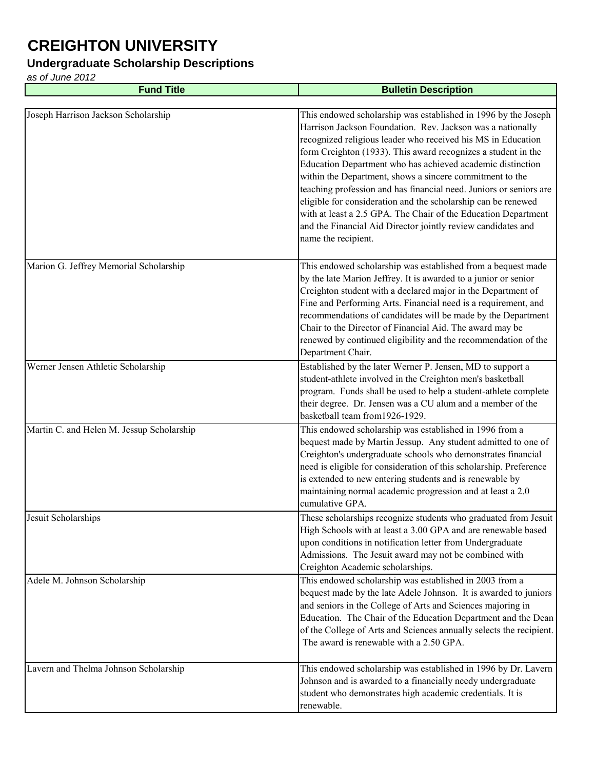#### **Undergraduate Scholarship Descriptions**

| <b>Fund Title</b>                         | <b>Bulletin Description</b>                                                                                                                                                                                                                                                                                                                                                                                                                                                                                                                                                                                                                                                             |
|-------------------------------------------|-----------------------------------------------------------------------------------------------------------------------------------------------------------------------------------------------------------------------------------------------------------------------------------------------------------------------------------------------------------------------------------------------------------------------------------------------------------------------------------------------------------------------------------------------------------------------------------------------------------------------------------------------------------------------------------------|
|                                           |                                                                                                                                                                                                                                                                                                                                                                                                                                                                                                                                                                                                                                                                                         |
| Joseph Harrison Jackson Scholarship       | This endowed scholarship was established in 1996 by the Joseph<br>Harrison Jackson Foundation. Rev. Jackson was a nationally<br>recognized religious leader who received his MS in Education<br>form Creighton (1933). This award recognizes a student in the<br>Education Department who has achieved academic distinction<br>within the Department, shows a sincere commitment to the<br>teaching profession and has financial need. Juniors or seniors are<br>eligible for consideration and the scholarship can be renewed<br>with at least a 2.5 GPA. The Chair of the Education Department<br>and the Financial Aid Director jointly review candidates and<br>name the recipient. |
| Marion G. Jeffrey Memorial Scholarship    | This endowed scholarship was established from a bequest made<br>by the late Marion Jeffrey. It is awarded to a junior or senior<br>Creighton student with a declared major in the Department of<br>Fine and Performing Arts. Financial need is a requirement, and<br>recommendations of candidates will be made by the Department<br>Chair to the Director of Financial Aid. The award may be<br>renewed by continued eligibility and the recommendation of the<br>Department Chair.                                                                                                                                                                                                    |
| Werner Jensen Athletic Scholarship        | Established by the later Werner P. Jensen, MD to support a<br>student-athlete involved in the Creighton men's basketball<br>program. Funds shall be used to help a student-athlete complete<br>their degree. Dr. Jensen was a CU alum and a member of the<br>basketball team from 1926-1929.                                                                                                                                                                                                                                                                                                                                                                                            |
| Martin C. and Helen M. Jessup Scholarship | This endowed scholarship was established in 1996 from a<br>bequest made by Martin Jessup. Any student admitted to one of<br>Creighton's undergraduate schools who demonstrates financial<br>need is eligible for consideration of this scholarship. Preference<br>is extended to new entering students and is renewable by<br>maintaining normal academic progression and at least a 2.0<br>cumulative GPA.                                                                                                                                                                                                                                                                             |
| Jesuit Scholarships                       | These scholarships recognize students who graduated from Jesuit<br>High Schools with at least a 3.00 GPA and are renewable based<br>upon conditions in notification letter from Undergraduate<br>Admissions. The Jesuit award may not be combined with<br>Creighton Academic scholarships.                                                                                                                                                                                                                                                                                                                                                                                              |
| Adele M. Johnson Scholarship              | This endowed scholarship was established in 2003 from a<br>bequest made by the late Adele Johnson. It is awarded to juniors<br>and seniors in the College of Arts and Sciences majoring in<br>Education. The Chair of the Education Department and the Dean<br>of the College of Arts and Sciences annually selects the recipient.<br>The award is renewable with a 2.50 GPA.                                                                                                                                                                                                                                                                                                           |
| Lavern and Thelma Johnson Scholarship     | This endowed scholarship was established in 1996 by Dr. Lavern<br>Johnson and is awarded to a financially needy undergraduate<br>student who demonstrates high academic credentials. It is<br>renewable.                                                                                                                                                                                                                                                                                                                                                                                                                                                                                |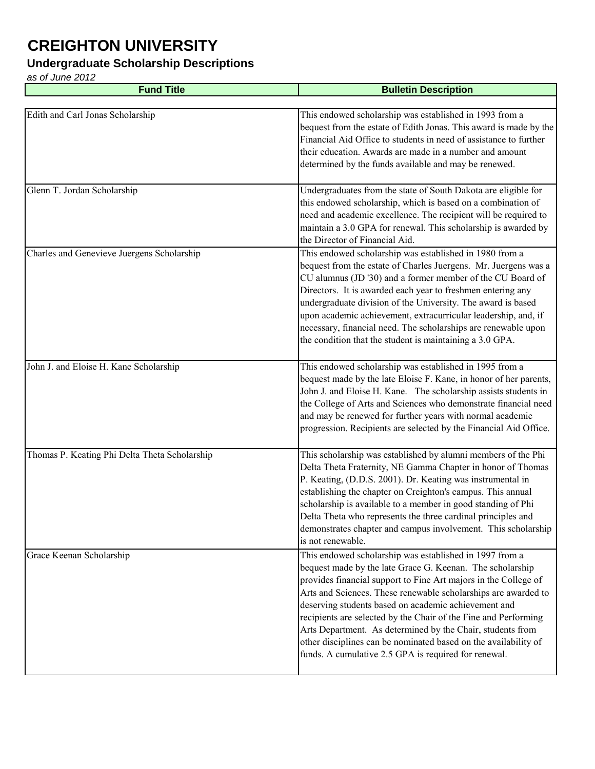#### **Undergraduate Scholarship Descriptions**

| <b>Fund Title</b>                             | <b>Bulletin Description</b>                                                                                                                                                                                                                                                                                                                                                                                                                                                                                                                                                   |
|-----------------------------------------------|-------------------------------------------------------------------------------------------------------------------------------------------------------------------------------------------------------------------------------------------------------------------------------------------------------------------------------------------------------------------------------------------------------------------------------------------------------------------------------------------------------------------------------------------------------------------------------|
|                                               |                                                                                                                                                                                                                                                                                                                                                                                                                                                                                                                                                                               |
| Edith and Carl Jonas Scholarship              | This endowed scholarship was established in 1993 from a<br>bequest from the estate of Edith Jonas. This award is made by the<br>Financial Aid Office to students in need of assistance to further<br>their education. Awards are made in a number and amount<br>determined by the funds available and may be renewed.                                                                                                                                                                                                                                                         |
| Glenn T. Jordan Scholarship                   | Undergraduates from the state of South Dakota are eligible for<br>this endowed scholarship, which is based on a combination of<br>need and academic excellence. The recipient will be required to<br>maintain a 3.0 GPA for renewal. This scholarship is awarded by<br>the Director of Financial Aid.                                                                                                                                                                                                                                                                         |
| Charles and Genevieve Juergens Scholarship    | This endowed scholarship was established in 1980 from a<br>bequest from the estate of Charles Juergens. Mr. Juergens was a<br>CU alumnus (JD '30) and a former member of the CU Board of<br>Directors. It is awarded each year to freshmen entering any<br>undergraduate division of the University. The award is based<br>upon academic achievement, extracurricular leadership, and, if<br>necessary, financial need. The scholarships are renewable upon<br>the condition that the student is maintaining a 3.0 GPA.                                                       |
| John J. and Eloise H. Kane Scholarship        | This endowed scholarship was established in 1995 from a<br>bequest made by the late Eloise F. Kane, in honor of her parents,<br>John J. and Eloise H. Kane. The scholarship assists students in<br>the College of Arts and Sciences who demonstrate financial need<br>and may be renewed for further years with normal academic<br>progression. Recipients are selected by the Financial Aid Office.                                                                                                                                                                          |
| Thomas P. Keating Phi Delta Theta Scholarship | This scholarship was established by alumni members of the Phi<br>Delta Theta Fraternity, NE Gamma Chapter in honor of Thomas<br>P. Keating, (D.D.S. 2001). Dr. Keating was instrumental in<br>establishing the chapter on Creighton's campus. This annual<br>scholarship is available to a member in good standing of Phi<br>Delta Theta who represents the three cardinal principles and<br>demonstrates chapter and campus involvement. This scholarship<br>is not renewable.                                                                                               |
| Grace Keenan Scholarship                      | This endowed scholarship was established in 1997 from a<br>bequest made by the late Grace G. Keenan. The scholarship<br>provides financial support to Fine Art majors in the College of<br>Arts and Sciences. These renewable scholarships are awarded to<br>deserving students based on academic achievement and<br>recipients are selected by the Chair of the Fine and Performing<br>Arts Department. As determined by the Chair, students from<br>other disciplines can be nominated based on the availability of<br>funds. A cumulative 2.5 GPA is required for renewal. |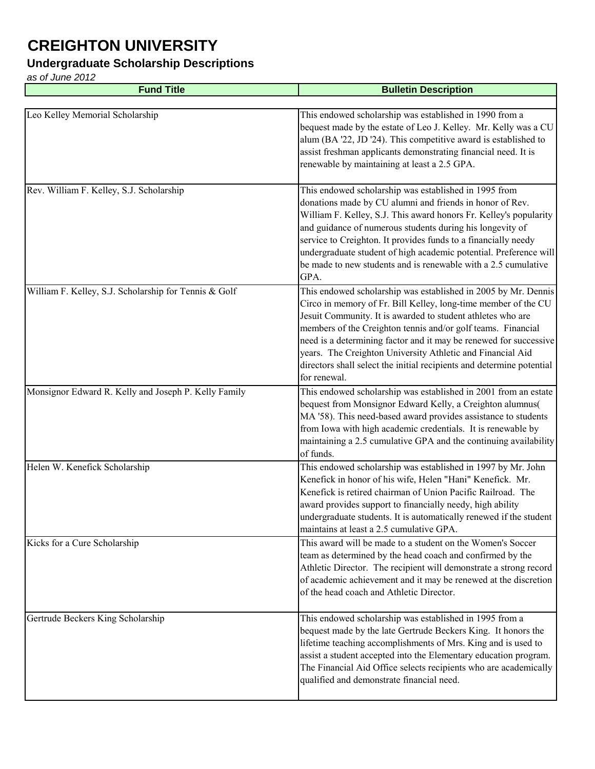#### **Undergraduate Scholarship Descriptions**

| <b>Fund Title</b>                                     | <b>Bulletin Description</b>                                                                                                                                                                                                                                                                                                                                                                                                                                                                 |
|-------------------------------------------------------|---------------------------------------------------------------------------------------------------------------------------------------------------------------------------------------------------------------------------------------------------------------------------------------------------------------------------------------------------------------------------------------------------------------------------------------------------------------------------------------------|
|                                                       |                                                                                                                                                                                                                                                                                                                                                                                                                                                                                             |
| Leo Kelley Memorial Scholarship                       | This endowed scholarship was established in 1990 from a<br>bequest made by the estate of Leo J. Kelley. Mr. Kelly was a CU<br>alum (BA '22, JD '24). This competitive award is established to<br>assist freshman applicants demonstrating financial need. It is<br>renewable by maintaining at least a 2.5 GPA.                                                                                                                                                                             |
| Rev. William F. Kelley, S.J. Scholarship              | This endowed scholarship was established in 1995 from<br>donations made by CU alumni and friends in honor of Rev.<br>William F. Kelley, S.J. This award honors Fr. Kelley's popularity<br>and guidance of numerous students during his longevity of<br>service to Creighton. It provides funds to a financially needy<br>undergraduate student of high academic potential. Preference will<br>be made to new students and is renewable with a 2.5 cumulative<br>GPA.                        |
| William F. Kelley, S.J. Scholarship for Tennis & Golf | This endowed scholarship was established in 2005 by Mr. Dennis<br>Circo in memory of Fr. Bill Kelley, long-time member of the CU<br>Jesuit Community. It is awarded to student athletes who are<br>members of the Creighton tennis and/or golf teams. Financial<br>need is a determining factor and it may be renewed for successive<br>years. The Creighton University Athletic and Financial Aid<br>directors shall select the initial recipients and determine potential<br>for renewal. |
| Monsignor Edward R. Kelly and Joseph P. Kelly Family  | This endowed scholarship was established in 2001 from an estate<br>bequest from Monsignor Edward Kelly, a Creighton alumnus(<br>MA '58). This need-based award provides assistance to students<br>from Iowa with high academic credentials. It is renewable by<br>maintaining a 2.5 cumulative GPA and the continuing availability<br>of funds.                                                                                                                                             |
| Helen W. Kenefick Scholarship                         | This endowed scholarship was established in 1997 by Mr. John<br>Kenefick in honor of his wife, Helen "Hani" Kenefick. Mr.<br>Kenefick is retired chairman of Union Pacific Railroad. The<br>award provides support to financially needy, high ability<br>undergraduate students. It is automatically renewed if the student<br>maintains at least a 2.5 cumulative GPA.                                                                                                                     |
| Kicks for a Cure Scholarship                          | This award will be made to a student on the Women's Soccer<br>team as determined by the head coach and confirmed by the<br>Athletic Director. The recipient will demonstrate a strong record<br>of academic achievement and it may be renewed at the discretion<br>of the head coach and Athletic Director.                                                                                                                                                                                 |
| Gertrude Beckers King Scholarship                     | This endowed scholarship was established in 1995 from a<br>bequest made by the late Gertrude Beckers King. It honors the<br>lifetime teaching accomplishments of Mrs. King and is used to<br>assist a student accepted into the Elementary education program.<br>The Financial Aid Office selects recipients who are academically<br>qualified and demonstrate financial need.                                                                                                              |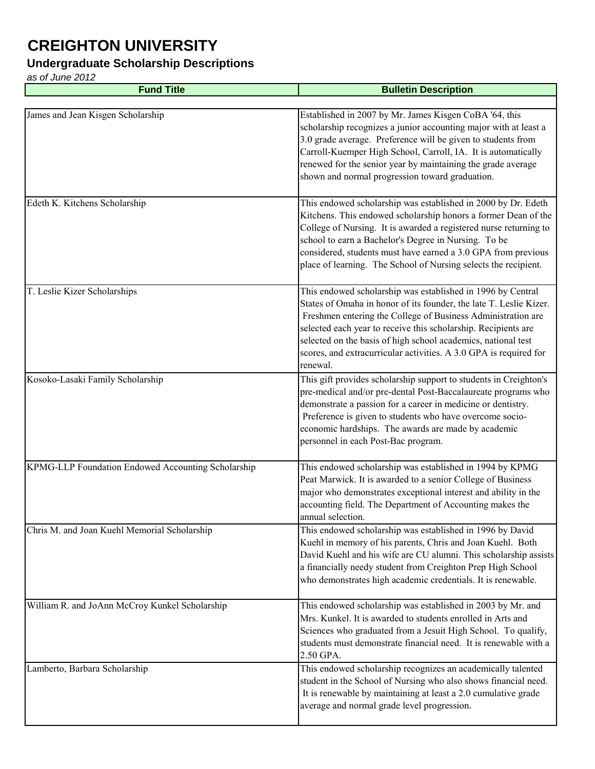#### **Undergraduate Scholarship Descriptions**

| <b>Fund Title</b>                                  | <b>Bulletin Description</b>                                                                                                                                                                                                                                                                                                                                                                                           |
|----------------------------------------------------|-----------------------------------------------------------------------------------------------------------------------------------------------------------------------------------------------------------------------------------------------------------------------------------------------------------------------------------------------------------------------------------------------------------------------|
|                                                    |                                                                                                                                                                                                                                                                                                                                                                                                                       |
| James and Jean Kisgen Scholarship                  | Established in 2007 by Mr. James Kisgen CoBA '64, this<br>scholarship recognizes a junior accounting major with at least a<br>3.0 grade average. Preference will be given to students from<br>Carroll-Kuemper High School, Carroll, IA. It is automatically<br>renewed for the senior year by maintaining the grade average<br>shown and normal progression toward graduation.                                        |
| Edeth K. Kitchens Scholarship                      | This endowed scholarship was established in 2000 by Dr. Edeth<br>Kitchens. This endowed scholarship honors a former Dean of the<br>College of Nursing. It is awarded a registered nurse returning to<br>school to earn a Bachelor's Degree in Nursing. To be<br>considered, students must have earned a 3.0 GPA from previous<br>place of learning. The School of Nursing selects the recipient.                      |
| T. Leslie Kizer Scholarships                       | This endowed scholarship was established in 1996 by Central<br>States of Omaha in honor of its founder, the late T. Leslie Kizer.<br>Freshmen entering the College of Business Administration are<br>selected each year to receive this scholarship. Recipients are<br>selected on the basis of high school academics, national test<br>scores, and extracurricular activities. A 3.0 GPA is required for<br>renewal. |
| Kosoko-Lasaki Family Scholarship                   | This gift provides scholarship support to students in Creighton's<br>pre-medical and/or pre-dental Post-Baccalaureate programs who<br>demonstrate a passion for a career in medicine or dentistry.<br>Preference is given to students who have overcome socio-<br>economic hardships. The awards are made by academic<br>personnel in each Post-Bac program.                                                          |
| KPMG-LLP Foundation Endowed Accounting Scholarship | This endowed scholarship was established in 1994 by KPMG<br>Peat Marwick. It is awarded to a senior College of Business<br>major who demonstrates exceptional interest and ability in the<br>accounting field. The Department of Accounting makes the<br>annual selection.                                                                                                                                            |
| Chris M. and Joan Kuehl Memorial Scholarship       | This endowed scholarship was established in 1996 by David<br>Kuehl in memory of his parents, Chris and Joan Kuehl. Both<br>David Kuehl and his wife are CU alumni. This scholarship assists<br>a financially needy student from Creighton Prep High School<br>who demonstrates high academic credentials. It is renewable.                                                                                            |
| William R. and JoAnn McCroy Kunkel Scholarship     | This endowed scholarship was established in 2003 by Mr. and<br>Mrs. Kunkel. It is awarded to students enrolled in Arts and<br>Sciences who graduated from a Jesuit High School. To qualify,<br>students must demonstrate financial need. It is renewable with a<br>2.50 GPA.                                                                                                                                          |
| Lamberto, Barbara Scholarship                      | This endowed scholarship recognizes an academically talented<br>student in the School of Nursing who also shows financial need.<br>It is renewable by maintaining at least a 2.0 cumulative grade<br>average and normal grade level progression.                                                                                                                                                                      |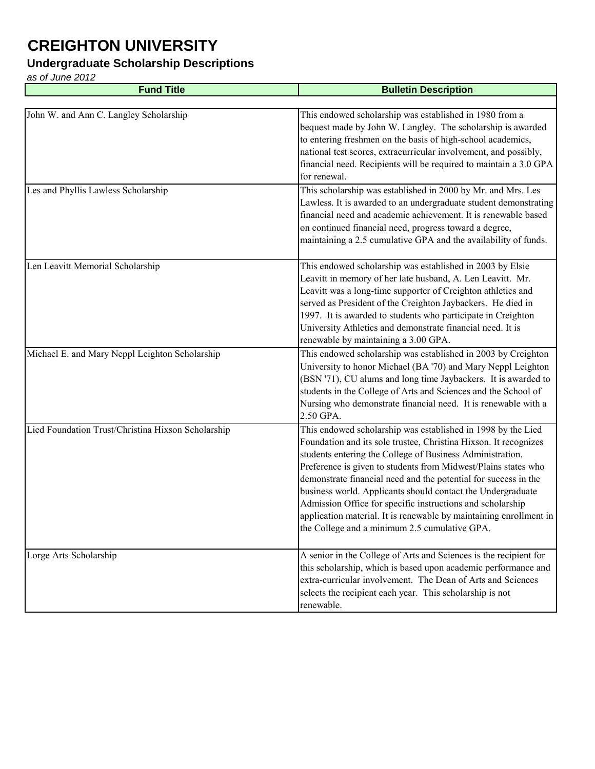#### **Undergraduate Scholarship Descriptions**

| <b>Fund Title</b>                                  | <b>Bulletin Description</b>                                                                                                                                                                                                                                                                                                                                                                                                                                                                                                                                                            |
|----------------------------------------------------|----------------------------------------------------------------------------------------------------------------------------------------------------------------------------------------------------------------------------------------------------------------------------------------------------------------------------------------------------------------------------------------------------------------------------------------------------------------------------------------------------------------------------------------------------------------------------------------|
|                                                    |                                                                                                                                                                                                                                                                                                                                                                                                                                                                                                                                                                                        |
| John W. and Ann C. Langley Scholarship             | This endowed scholarship was established in 1980 from a<br>bequest made by John W. Langley. The scholarship is awarded<br>to entering freshmen on the basis of high-school academics,<br>national test scores, extracurricular involvement, and possibly,<br>financial need. Recipients will be required to maintain a 3.0 GPA<br>for renewal.                                                                                                                                                                                                                                         |
| Les and Phyllis Lawless Scholarship                | This scholarship was established in 2000 by Mr. and Mrs. Les<br>Lawless. It is awarded to an undergraduate student demonstrating<br>financial need and academic achievement. It is renewable based<br>on continued financial need, progress toward a degree,<br>maintaining a 2.5 cumulative GPA and the availability of funds.                                                                                                                                                                                                                                                        |
| Len Leavitt Memorial Scholarship                   | This endowed scholarship was established in 2003 by Elsie<br>Leavitt in memory of her late husband, A. Len Leavitt. Mr.<br>Leavitt was a long-time supporter of Creighton athletics and<br>served as President of the Creighton Jaybackers. He died in<br>1997. It is awarded to students who participate in Creighton<br>University Athletics and demonstrate financial need. It is<br>renewable by maintaining a 3.00 GPA.                                                                                                                                                           |
| Michael E. and Mary Neppl Leighton Scholarship     | This endowed scholarship was established in 2003 by Creighton<br>University to honor Michael (BA '70) and Mary Neppl Leighton<br>(BSN '71), CU alums and long time Jaybackers. It is awarded to<br>students in the College of Arts and Sciences and the School of<br>Nursing who demonstrate financial need. It is renewable with a<br>2.50 GPA.                                                                                                                                                                                                                                       |
| Lied Foundation Trust/Christina Hixson Scholarship | This endowed scholarship was established in 1998 by the Lied<br>Foundation and its sole trustee, Christina Hixson. It recognizes<br>students entering the College of Business Administration.<br>Preference is given to students from Midwest/Plains states who<br>demonstrate financial need and the potential for success in the<br>business world. Applicants should contact the Undergraduate<br>Admission Office for specific instructions and scholarship<br>application material. It is renewable by maintaining enrollment in<br>the College and a minimum 2.5 cumulative GPA. |
| Lorge Arts Scholarship                             | A senior in the College of Arts and Sciences is the recipient for<br>this scholarship, which is based upon academic performance and<br>extra-curricular involvement. The Dean of Arts and Sciences<br>selects the recipient each year. This scholarship is not<br>renewable.                                                                                                                                                                                                                                                                                                           |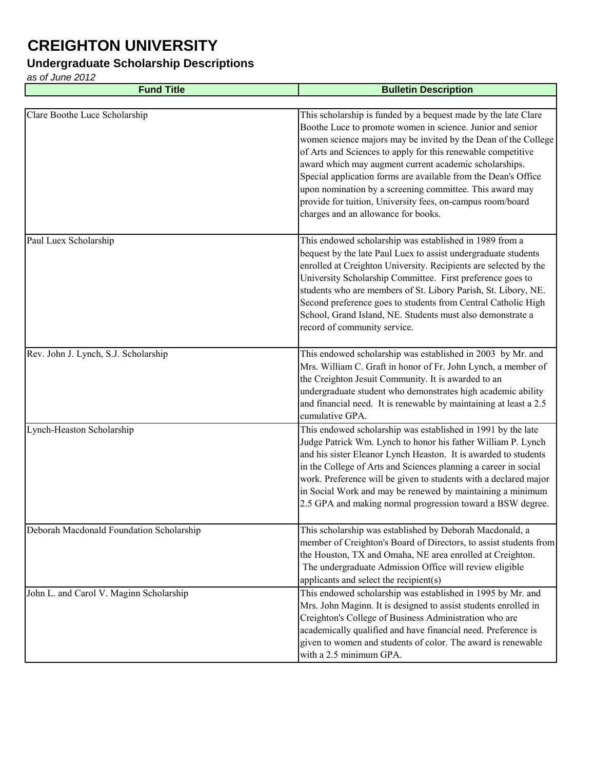#### **Undergraduate Scholarship Descriptions**

| <b>Fund Title</b>                        | <b>Bulletin Description</b>                                                                                                                                                                                                                                                                                                                                                                                                                                                                                                                                 |
|------------------------------------------|-------------------------------------------------------------------------------------------------------------------------------------------------------------------------------------------------------------------------------------------------------------------------------------------------------------------------------------------------------------------------------------------------------------------------------------------------------------------------------------------------------------------------------------------------------------|
|                                          |                                                                                                                                                                                                                                                                                                                                                                                                                                                                                                                                                             |
| Clare Boothe Luce Scholarship            | This scholarship is funded by a bequest made by the late Clare<br>Boothe Luce to promote women in science. Junior and senior<br>women science majors may be invited by the Dean of the College<br>of Arts and Sciences to apply for this renewable competitive<br>award which may augment current academic scholarships.<br>Special application forms are available from the Dean's Office<br>upon nomination by a screening committee. This award may<br>provide for tuition, University fees, on-campus room/board<br>charges and an allowance for books. |
| Paul Luex Scholarship                    | This endowed scholarship was established in 1989 from a<br>bequest by the late Paul Luex to assist undergraduate students<br>enrolled at Creighton University. Recipients are selected by the<br>University Scholarship Committee. First preference goes to<br>students who are members of St. Libory Parish, St. Libory, NE.<br>Second preference goes to students from Central Catholic High<br>School, Grand Island, NE. Students must also demonstrate a<br>record of community service.                                                                |
| Rev. John J. Lynch, S.J. Scholarship     | This endowed scholarship was established in 2003 by Mr. and<br>Mrs. William C. Graft in honor of Fr. John Lynch, a member of<br>the Creighton Jesuit Community. It is awarded to an<br>undergraduate student who demonstrates high academic ability<br>and financial need. It is renewable by maintaining at least a 2.5<br>cumulative GPA.                                                                                                                                                                                                                 |
| Lynch-Heaston Scholarship                | This endowed scholarship was established in 1991 by the late<br>Judge Patrick Wm. Lynch to honor his father William P. Lynch<br>and his sister Eleanor Lynch Heaston. It is awarded to students<br>in the College of Arts and Sciences planning a career in social<br>work. Preference will be given to students with a declared major<br>in Social Work and may be renewed by maintaining a minimum<br>2.5 GPA and making normal progression toward a BSW degree.                                                                                          |
| Deborah Macdonald Foundation Scholarship | This scholarship was established by Deborah Macdonald, a<br>member of Creighton's Board of Directors, to assist students from<br>the Houston, TX and Omaha, NE area enrolled at Creighton.<br>The undergraduate Admission Office will review eligible<br>applicants and select the recipient(s)                                                                                                                                                                                                                                                             |
| John L. and Carol V. Maginn Scholarship  | This endowed scholarship was established in 1995 by Mr. and<br>Mrs. John Maginn. It is designed to assist students enrolled in<br>Creighton's College of Business Administration who are<br>academically qualified and have financial need. Preference is<br>given to women and students of color. The award is renewable<br>with a 2.5 minimum GPA.                                                                                                                                                                                                        |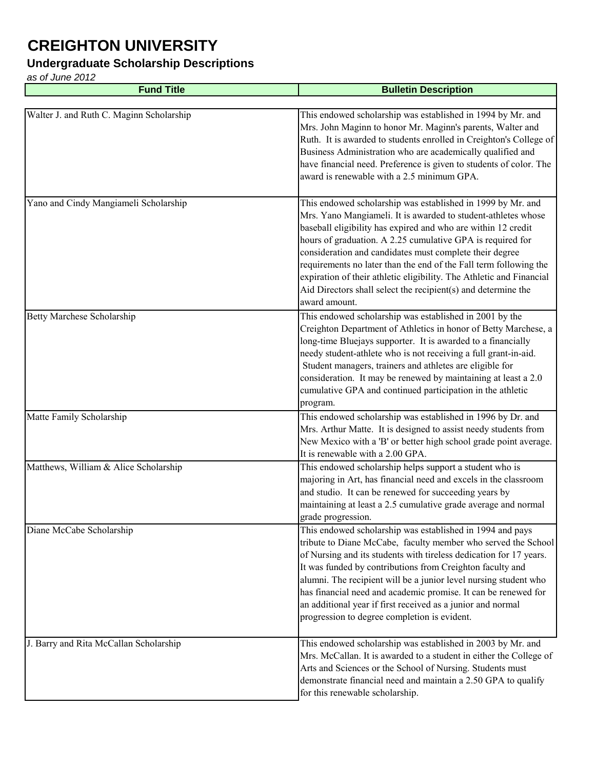### **Undergraduate Scholarship Descriptions**

| <b>Fund Title</b>                        | <b>Bulletin Description</b>                                                                                                                                                                                                                                                                                                                                                                                                                                                                                                                           |
|------------------------------------------|-------------------------------------------------------------------------------------------------------------------------------------------------------------------------------------------------------------------------------------------------------------------------------------------------------------------------------------------------------------------------------------------------------------------------------------------------------------------------------------------------------------------------------------------------------|
|                                          |                                                                                                                                                                                                                                                                                                                                                                                                                                                                                                                                                       |
| Walter J. and Ruth C. Maginn Scholarship | This endowed scholarship was established in 1994 by Mr. and<br>Mrs. John Maginn to honor Mr. Maginn's parents, Walter and<br>Ruth. It is awarded to students enrolled in Creighton's College of<br>Business Administration who are academically qualified and<br>have financial need. Preference is given to students of color. The<br>award is renewable with a 2.5 minimum GPA.                                                                                                                                                                     |
| Yano and Cindy Mangiameli Scholarship    | This endowed scholarship was established in 1999 by Mr. and<br>Mrs. Yano Mangiameli. It is awarded to student-athletes whose<br>baseball eligibility has expired and who are within 12 credit<br>hours of graduation. A 2.25 cumulative GPA is required for<br>consideration and candidates must complete their degree<br>requirements no later than the end of the Fall term following the<br>expiration of their athletic eligibility. The Athletic and Financial<br>Aid Directors shall select the recipient(s) and determine the<br>award amount. |
| <b>Betty Marchese Scholarship</b>        | This endowed scholarship was established in 2001 by the<br>Creighton Department of Athletics in honor of Betty Marchese, a<br>long-time Bluejays supporter. It is awarded to a financially<br>needy student-athlete who is not receiving a full grant-in-aid.<br>Student managers, trainers and athletes are eligible for<br>consideration. It may be renewed by maintaining at least a 2.0<br>cumulative GPA and continued participation in the athletic<br>program.                                                                                 |
| Matte Family Scholarship                 | This endowed scholarship was established in 1996 by Dr. and<br>Mrs. Arthur Matte. It is designed to assist needy students from<br>New Mexico with a 'B' or better high school grade point average.<br>It is renewable with a 2.00 GPA.                                                                                                                                                                                                                                                                                                                |
| Matthews, William & Alice Scholarship    | This endowed scholarship helps support a student who is<br>majoring in Art, has financial need and excels in the classroom<br>and studio. It can be renewed for succeeding years by<br>maintaining at least a 2.5 cumulative grade average and normal<br>grade progression.                                                                                                                                                                                                                                                                           |
| Diane McCabe Scholarship                 | This endowed scholarship was established in 1994 and pays<br>tribute to Diane McCabe, faculty member who served the School<br>of Nursing and its students with tireless dedication for 17 years.<br>It was funded by contributions from Creighton faculty and<br>alumni. The recipient will be a junior level nursing student who<br>has financial need and academic promise. It can be renewed for<br>an additional year if first received as a junior and normal<br>progression to degree completion is evident.                                    |
| J. Barry and Rita McCallan Scholarship   | This endowed scholarship was established in 2003 by Mr. and<br>Mrs. McCallan. It is awarded to a student in either the College of<br>Arts and Sciences or the School of Nursing. Students must<br>demonstrate financial need and maintain a 2.50 GPA to qualify<br>for this renewable scholarship.                                                                                                                                                                                                                                                    |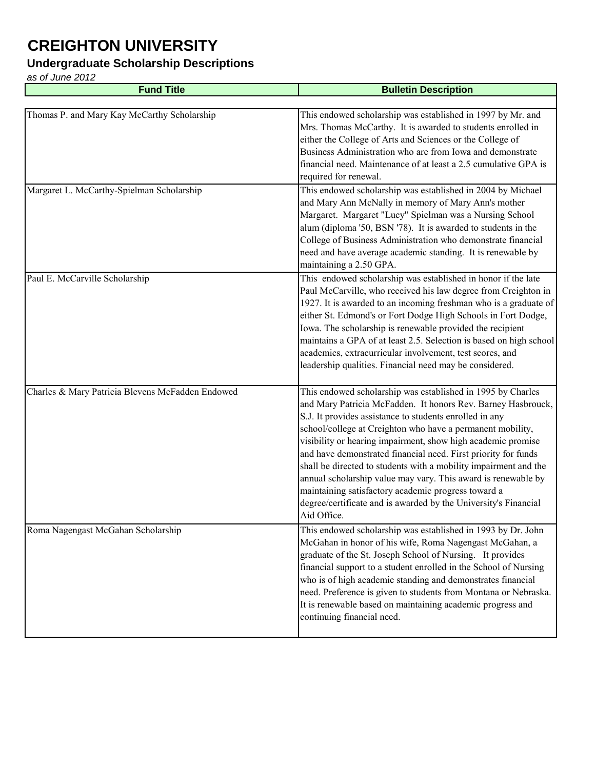### **Undergraduate Scholarship Descriptions**

| <b>Fund Title</b>                                | <b>Bulletin Description</b>                                                                                                                                                                                                                                                                                                                                                                                                                                                                                                                                                                                                                                          |
|--------------------------------------------------|----------------------------------------------------------------------------------------------------------------------------------------------------------------------------------------------------------------------------------------------------------------------------------------------------------------------------------------------------------------------------------------------------------------------------------------------------------------------------------------------------------------------------------------------------------------------------------------------------------------------------------------------------------------------|
|                                                  |                                                                                                                                                                                                                                                                                                                                                                                                                                                                                                                                                                                                                                                                      |
| Thomas P. and Mary Kay McCarthy Scholarship      | This endowed scholarship was established in 1997 by Mr. and<br>Mrs. Thomas McCarthy. It is awarded to students enrolled in<br>either the College of Arts and Sciences or the College of<br>Business Administration who are from Iowa and demonstrate<br>financial need. Maintenance of at least a 2.5 cumulative GPA is<br>required for renewal.                                                                                                                                                                                                                                                                                                                     |
| Margaret L. McCarthy-Spielman Scholarship        | This endowed scholarship was established in 2004 by Michael<br>and Mary Ann McNally in memory of Mary Ann's mother<br>Margaret. Margaret "Lucy" Spielman was a Nursing School<br>alum (diploma '50, BSN '78). It is awarded to students in the<br>College of Business Administration who demonstrate financial<br>need and have average academic standing. It is renewable by<br>maintaining a 2.50 GPA.                                                                                                                                                                                                                                                             |
| Paul E. McCarville Scholarship                   | This endowed scholarship was established in honor if the late<br>Paul McCarville, who received his law degree from Creighton in<br>1927. It is awarded to an incoming freshman who is a graduate of<br>either St. Edmond's or Fort Dodge High Schools in Fort Dodge,<br>Iowa. The scholarship is renewable provided the recipient<br>maintains a GPA of at least 2.5. Selection is based on high school<br>academics, extracurricular involvement, test scores, and<br>leadership qualities. Financial need may be considered.                                                                                                                                       |
| Charles & Mary Patricia Blevens McFadden Endowed | This endowed scholarship was established in 1995 by Charles<br>and Mary Patricia McFadden. It honors Rev. Barney Hasbrouck,<br>S.J. It provides assistance to students enrolled in any<br>school/college at Creighton who have a permanent mobility,<br>visibility or hearing impairment, show high academic promise<br>and have demonstrated financial need. First priority for funds<br>shall be directed to students with a mobility impairment and the<br>annual scholarship value may vary. This award is renewable by<br>maintaining satisfactory academic progress toward a<br>degree/certificate and is awarded by the University's Financial<br>Aid Office. |
| Roma Nagengast McGahan Scholarship               | This endowed scholarship was established in 1993 by Dr. John<br>McGahan in honor of his wife, Roma Nagengast McGahan, a<br>graduate of the St. Joseph School of Nursing. It provides<br>financial support to a student enrolled in the School of Nursing<br>who is of high academic standing and demonstrates financial<br>need. Preference is given to students from Montana or Nebraska.<br>It is renewable based on maintaining academic progress and<br>continuing financial need.                                                                                                                                                                               |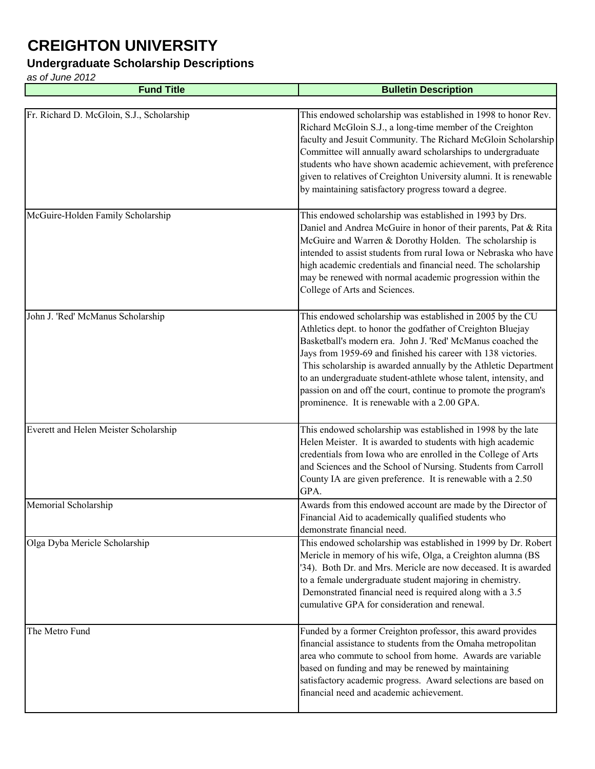### **Undergraduate Scholarship Descriptions**

| <b>Fund Title</b>                         | <b>Bulletin Description</b>                                                                                                                                                                                                                                                                                                                                                                                                                                                                                        |
|-------------------------------------------|--------------------------------------------------------------------------------------------------------------------------------------------------------------------------------------------------------------------------------------------------------------------------------------------------------------------------------------------------------------------------------------------------------------------------------------------------------------------------------------------------------------------|
|                                           |                                                                                                                                                                                                                                                                                                                                                                                                                                                                                                                    |
| Fr. Richard D. McGloin, S.J., Scholarship | This endowed scholarship was established in 1998 to honor Rev.<br>Richard McGloin S.J., a long-time member of the Creighton<br>faculty and Jesuit Community. The Richard McGloin Scholarship<br>Committee will annually award scholarships to undergraduate<br>students who have shown academic achievement, with preference<br>given to relatives of Creighton University alumni. It is renewable<br>by maintaining satisfactory progress toward a degree.                                                        |
| McGuire-Holden Family Scholarship         | This endowed scholarship was established in 1993 by Drs.<br>Daniel and Andrea McGuire in honor of their parents, Pat & Rita<br>McGuire and Warren & Dorothy Holden. The scholarship is<br>intended to assist students from rural Iowa or Nebraska who have<br>high academic credentials and financial need. The scholarship<br>may be renewed with normal academic progression within the<br>College of Arts and Sciences.                                                                                         |
| John J. 'Red' McManus Scholarship         | This endowed scholarship was established in 2005 by the CU<br>Athletics dept. to honor the godfather of Creighton Bluejay<br>Basketball's modern era. John J. 'Red' McManus coached the<br>Jays from 1959-69 and finished his career with 138 victories.<br>This scholarship is awarded annually by the Athletic Department<br>to an undergraduate student-athlete whose talent, intensity, and<br>passion on and off the court, continue to promote the program's<br>prominence. It is renewable with a 2.00 GPA. |
| Everett and Helen Meister Scholarship     | This endowed scholarship was established in 1998 by the late<br>Helen Meister. It is awarded to students with high academic<br>credentials from Iowa who are enrolled in the College of Arts<br>and Sciences and the School of Nursing. Students from Carroll<br>County IA are given preference. It is renewable with a 2.50<br>GPA.                                                                                                                                                                               |
| Memorial Scholarship                      | Awards from this endowed account are made by the Director of<br>Financial Aid to academically qualified students who<br>demonstrate financial need.                                                                                                                                                                                                                                                                                                                                                                |
| Olga Dyba Mericle Scholarship             | This endowed scholarship was established in 1999 by Dr. Robert<br>Mericle in memory of his wife, Olga, a Creighton alumna (BS<br>'34). Both Dr. and Mrs. Mericle are now deceased. It is awarded<br>to a female undergraduate student majoring in chemistry.<br>Demonstrated financial need is required along with a 3.5<br>cumulative GPA for consideration and renewal.                                                                                                                                          |
| The Metro Fund                            | Funded by a former Creighton professor, this award provides<br>financial assistance to students from the Omaha metropolitan<br>area who commute to school from home. Awards are variable<br>based on funding and may be renewed by maintaining<br>satisfactory academic progress. Award selections are based on<br>financial need and academic achievement.                                                                                                                                                        |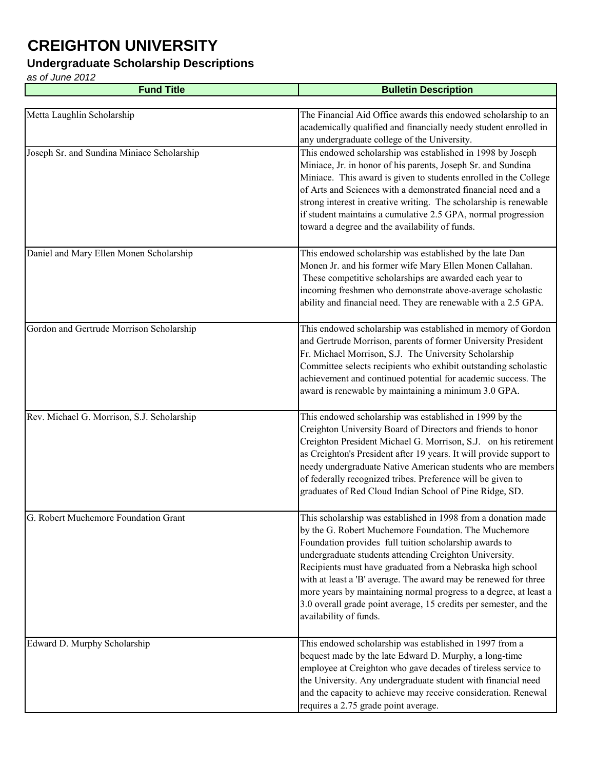### **Undergraduate Scholarship Descriptions**

| <b>Fund Title</b>                          | <b>Bulletin Description</b>                                                                                                                                                                                                                                                                                                                                                                                                                                                                                                                    |
|--------------------------------------------|------------------------------------------------------------------------------------------------------------------------------------------------------------------------------------------------------------------------------------------------------------------------------------------------------------------------------------------------------------------------------------------------------------------------------------------------------------------------------------------------------------------------------------------------|
|                                            |                                                                                                                                                                                                                                                                                                                                                                                                                                                                                                                                                |
| Metta Laughlin Scholarship                 | The Financial Aid Office awards this endowed scholarship to an<br>academically qualified and financially needy student enrolled in<br>any undergraduate college of the University.                                                                                                                                                                                                                                                                                                                                                             |
| Joseph Sr. and Sundina Miniace Scholarship | This endowed scholarship was established in 1998 by Joseph<br>Miniace, Jr. in honor of his parents, Joseph Sr. and Sundina<br>Miniace. This award is given to students enrolled in the College<br>of Arts and Sciences with a demonstrated financial need and a<br>strong interest in creative writing. The scholarship is renewable<br>if student maintains a cumulative 2.5 GPA, normal progression<br>toward a degree and the availability of funds.                                                                                        |
| Daniel and Mary Ellen Monen Scholarship    | This endowed scholarship was established by the late Dan<br>Monen Jr. and his former wife Mary Ellen Monen Callahan.<br>These competitive scholarships are awarded each year to<br>incoming freshmen who demonstrate above-average scholastic<br>ability and financial need. They are renewable with a 2.5 GPA.                                                                                                                                                                                                                                |
| Gordon and Gertrude Morrison Scholarship   | This endowed scholarship was established in memory of Gordon<br>and Gertrude Morrison, parents of former University President<br>Fr. Michael Morrison, S.J. The University Scholarship<br>Committee selects recipients who exhibit outstanding scholastic<br>achievement and continued potential for academic success. The<br>award is renewable by maintaining a minimum 3.0 GPA.                                                                                                                                                             |
| Rev. Michael G. Morrison, S.J. Scholarship | This endowed scholarship was established in 1999 by the<br>Creighton University Board of Directors and friends to honor<br>Creighton President Michael G. Morrison, S.J. on his retirement<br>as Creighton's President after 19 years. It will provide support to<br>needy undergraduate Native American students who are members<br>of federally recognized tribes. Preference will be given to<br>graduates of Red Cloud Indian School of Pine Ridge, SD.                                                                                    |
| G. Robert Muchemore Foundation Grant       | This scholarship was established in 1998 from a donation made<br>by the G. Robert Muchemore Foundation. The Muchemore<br>Foundation provides full tuition scholarship awards to<br>undergraduate students attending Creighton University.<br>Recipients must have graduated from a Nebraska high school<br>with at least a 'B' average. The award may be renewed for three<br>more years by maintaining normal progress to a degree, at least a<br>3.0 overall grade point average, 15 credits per semester, and the<br>availability of funds. |
| Edward D. Murphy Scholarship               | This endowed scholarship was established in 1997 from a<br>bequest made by the late Edward D. Murphy, a long-time<br>employee at Creighton who gave decades of tireless service to<br>the University. Any undergraduate student with financial need<br>and the capacity to achieve may receive consideration. Renewal<br>requires a 2.75 grade point average.                                                                                                                                                                                  |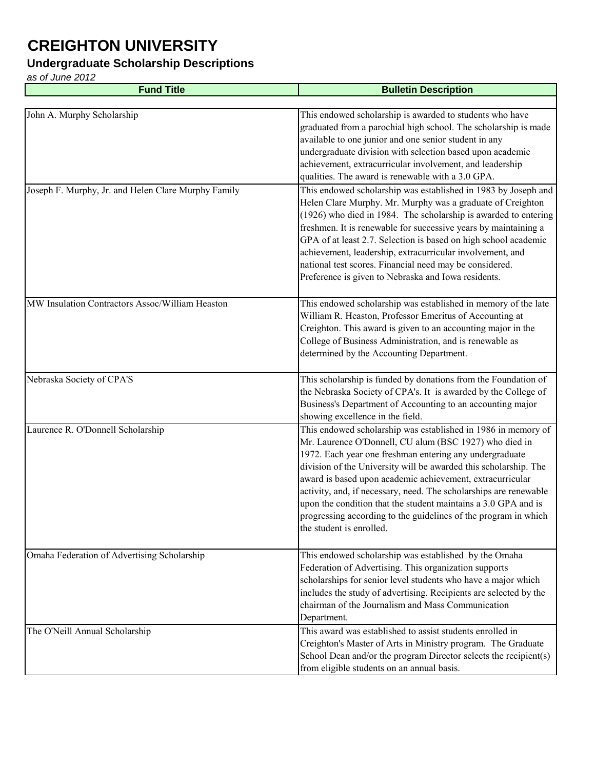#### **Undergraduate Scholarship Descriptions**

| <b>Fund Title</b>                                   | <b>Bulletin Description</b>                                                                                                                                                                                                                                                                                                                                                                                                                                                                                                                               |
|-----------------------------------------------------|-----------------------------------------------------------------------------------------------------------------------------------------------------------------------------------------------------------------------------------------------------------------------------------------------------------------------------------------------------------------------------------------------------------------------------------------------------------------------------------------------------------------------------------------------------------|
|                                                     |                                                                                                                                                                                                                                                                                                                                                                                                                                                                                                                                                           |
| John A. Murphy Scholarship                          | This endowed scholarship is awarded to students who have<br>graduated from a parochial high school. The scholarship is made<br>available to one junior and one senior student in any<br>undergraduate division with selection based upon academic<br>achievement, extracurricular involvement, and leadership<br>qualities. The award is renewable with a 3.0 GPA.                                                                                                                                                                                        |
| Joseph F. Murphy, Jr. and Helen Clare Murphy Family | This endowed scholarship was established in 1983 by Joseph and<br>Helen Clare Murphy. Mr. Murphy was a graduate of Creighton<br>(1926) who died in 1984. The scholarship is awarded to entering<br>freshmen. It is renewable for successive years by maintaining a<br>GPA of at least 2.7. Selection is based on high school academic<br>achievement, leadership, extracurricular involvement, and<br>national test scores. Financial need may be considered.<br>Preference is given to Nebraska and Iowa residents.                                      |
| MW Insulation Contractors Assoc/William Heaston     | This endowed scholarship was established in memory of the late<br>William R. Heaston, Professor Emeritus of Accounting at<br>Creighton. This award is given to an accounting major in the<br>College of Business Administration, and is renewable as<br>determined by the Accounting Department.                                                                                                                                                                                                                                                          |
| Nebraska Society of CPA'S                           | This scholarship is funded by donations from the Foundation of<br>the Nebraska Society of CPA's. It is awarded by the College of<br>Business's Department of Accounting to an accounting major<br>showing excellence in the field.                                                                                                                                                                                                                                                                                                                        |
| Laurence R. O'Donnell Scholarship                   | This endowed scholarship was established in 1986 in memory of<br>Mr. Laurence O'Donnell, CU alum (BSC 1927) who died in<br>1972. Each year one freshman entering any undergraduate<br>division of the University will be awarded this scholarship. The<br>award is based upon academic achievement, extracurricular<br>activity, and, if necessary, need. The scholarships are renewable<br>upon the condition that the student maintains a 3.0 GPA and is<br>progressing according to the guidelines of the program in which<br>the student is enrolled. |
| Omaha Federation of Advertising Scholarship         | This endowed scholarship was established by the Omaha<br>Federation of Advertising. This organization supports<br>scholarships for senior level students who have a major which<br>includes the study of advertising. Recipients are selected by the<br>chairman of the Journalism and Mass Communication<br>Department.                                                                                                                                                                                                                                  |
| The O'Neill Annual Scholarship                      | This award was established to assist students enrolled in<br>Creighton's Master of Arts in Ministry program. The Graduate<br>School Dean and/or the program Director selects the recipient(s)<br>from eligible students on an annual basis.                                                                                                                                                                                                                                                                                                               |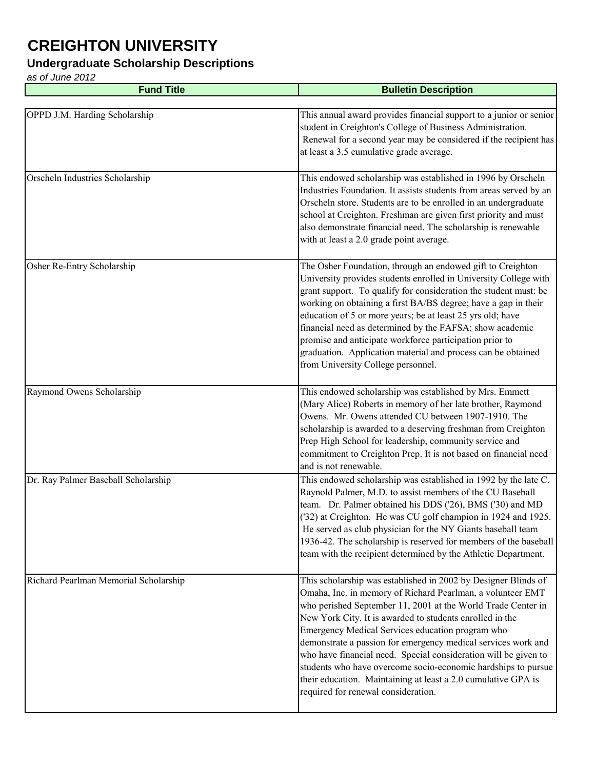#### **Undergraduate Scholarship Descriptions**

| <b>Fund Title</b>                     | <b>Bulletin Description</b>                                                                                                                                                                                                                                                                                                                                                                                                                                                                                                                                                                                               |
|---------------------------------------|---------------------------------------------------------------------------------------------------------------------------------------------------------------------------------------------------------------------------------------------------------------------------------------------------------------------------------------------------------------------------------------------------------------------------------------------------------------------------------------------------------------------------------------------------------------------------------------------------------------------------|
|                                       |                                                                                                                                                                                                                                                                                                                                                                                                                                                                                                                                                                                                                           |
| OPPD J.M. Harding Scholarship         | This annual award provides financial support to a junior or senior<br>student in Creighton's College of Business Administration.<br>Renewal for a second year may be considered if the recipient has<br>at least a 3.5 cumulative grade average.                                                                                                                                                                                                                                                                                                                                                                          |
| Orscheln Industries Scholarship       | This endowed scholarship was established in 1996 by Orscheln<br>Industries Foundation. It assists students from areas served by an<br>Orscheln store. Students are to be enrolled in an undergraduate<br>school at Creighton. Freshman are given first priority and must<br>also demonstrate financial need. The scholarship is renewable<br>with at least a 2.0 grade point average.                                                                                                                                                                                                                                     |
| Osher Re-Entry Scholarship            | The Osher Foundation, through an endowed gift to Creighton<br>University provides students enrolled in University College with<br>grant support. To qualify for consideration the student must: be<br>working on obtaining a first BA/BS degree; have a gap in their<br>education of 5 or more years; be at least 25 yrs old; have<br>financial need as determined by the FAFSA; show academic<br>promise and anticipate workforce participation prior to<br>graduation. Application material and process can be obtained<br>from University College personnel.                                                           |
| Raymond Owens Scholarship             | This endowed scholarship was established by Mrs. Emmett<br>(Mary Alice) Roberts in memory of her late brother, Raymond<br>Owens. Mr. Owens attended CU between 1907-1910. The<br>scholarship is awarded to a deserving freshman from Creighton<br>Prep High School for leadership, community service and<br>commitment to Creighton Prep. It is not based on financial need<br>and is not renewable.                                                                                                                                                                                                                      |
| Dr. Ray Palmer Baseball Scholarship   | This endowed scholarship was established in 1992 by the late C.<br>Raynold Palmer, M.D. to assist members of the CU Baseball<br>team. Dr. Palmer obtained his DDS ('26), BMS ('30) and MD<br>('32) at Creighton. He was CU golf champion in 1924 and 1925.<br>He served as club physician for the NY Giants baseball team<br>1936-42. The scholarship is reserved for members of the baseball<br>team with the recipient determined by the Athletic Department.                                                                                                                                                           |
| Richard Pearlman Memorial Scholarship | This scholarship was established in 2002 by Designer Blinds of<br>Omaha, Inc. in memory of Richard Pearlman, a volunteer EMT<br>who perished September 11, 2001 at the World Trade Center in<br>New York City. It is awarded to students enrolled in the<br>Emergency Medical Services education program who<br>demonstrate a passion for emergency medical services work and<br>who have financial need. Special consideration will be given to<br>students who have overcome socio-economic hardships to pursue<br>their education. Maintaining at least a 2.0 cumulative GPA is<br>required for renewal consideration. |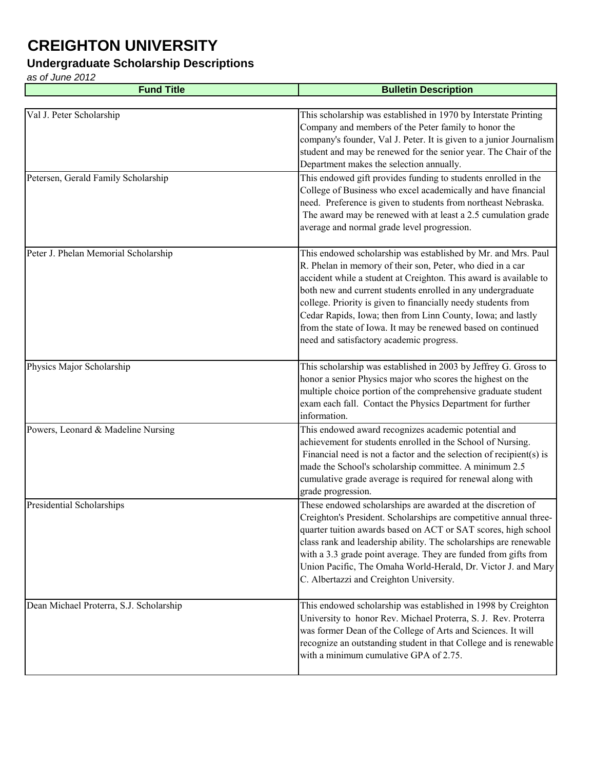### **Undergraduate Scholarship Descriptions**

| <b>Fund Title</b>                       | <b>Bulletin Description</b>                                                                                                                                                                                                                                                                                                                                                                                                                                                                                 |
|-----------------------------------------|-------------------------------------------------------------------------------------------------------------------------------------------------------------------------------------------------------------------------------------------------------------------------------------------------------------------------------------------------------------------------------------------------------------------------------------------------------------------------------------------------------------|
|                                         |                                                                                                                                                                                                                                                                                                                                                                                                                                                                                                             |
| Val J. Peter Scholarship                | This scholarship was established in 1970 by Interstate Printing<br>Company and members of the Peter family to honor the<br>company's founder, Val J. Peter. It is given to a junior Journalism<br>student and may be renewed for the senior year. The Chair of the<br>Department makes the selection annually.                                                                                                                                                                                              |
| Petersen, Gerald Family Scholarship     | This endowed gift provides funding to students enrolled in the<br>College of Business who excel academically and have financial<br>need. Preference is given to students from northeast Nebraska.<br>The award may be renewed with at least a 2.5 cumulation grade<br>average and normal grade level progression.                                                                                                                                                                                           |
| Peter J. Phelan Memorial Scholarship    | This endowed scholarship was established by Mr. and Mrs. Paul<br>R. Phelan in memory of their son, Peter, who died in a car<br>accident while a student at Creighton. This award is available to<br>both new and current students enrolled in any undergraduate<br>college. Priority is given to financially needy students from<br>Cedar Rapids, Iowa; then from Linn County, Iowa; and lastly<br>from the state of Iowa. It may be renewed based on continued<br>need and satisfactory academic progress. |
| Physics Major Scholarship               | This scholarship was established in 2003 by Jeffrey G. Gross to<br>honor a senior Physics major who scores the highest on the<br>multiple choice portion of the comprehensive graduate student<br>exam each fall. Contact the Physics Department for further<br>information.                                                                                                                                                                                                                                |
| Powers, Leonard & Madeline Nursing      | This endowed award recognizes academic potential and<br>achievement for students enrolled in the School of Nursing.<br>Financial need is not a factor and the selection of recipient(s) is<br>made the School's scholarship committee. A minimum 2.5<br>cumulative grade average is required for renewal along with<br>grade progression.                                                                                                                                                                   |
| Presidential Scholarships               | These endowed scholarships are awarded at the discretion of<br>Creighton's President. Scholarships are competitive annual three-<br>quarter tuition awards based on ACT or SAT scores, high school<br>class rank and leadership ability. The scholarships are renewable<br>with a 3.3 grade point average. They are funded from gifts from<br>Union Pacific, The Omaha World-Herald, Dr. Victor J. and Mary<br>C. Albertazzi and Creighton University.                                                      |
| Dean Michael Proterra, S.J. Scholarship | This endowed scholarship was established in 1998 by Creighton<br>University to honor Rev. Michael Proterra, S. J. Rev. Proterra<br>was former Dean of the College of Arts and Sciences. It will<br>recognize an outstanding student in that College and is renewable<br>with a minimum cumulative GPA of 2.75.                                                                                                                                                                                              |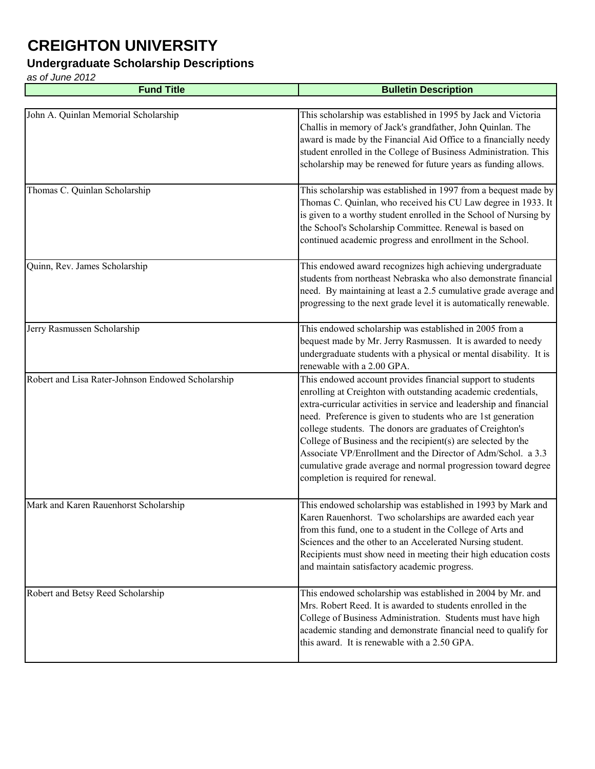#### **Undergraduate Scholarship Descriptions**

| <b>Fund Title</b>                                 | <b>Bulletin Description</b>                                                                                                                                                                                                                                                                                                                                                                                                                                                                                                                                              |
|---------------------------------------------------|--------------------------------------------------------------------------------------------------------------------------------------------------------------------------------------------------------------------------------------------------------------------------------------------------------------------------------------------------------------------------------------------------------------------------------------------------------------------------------------------------------------------------------------------------------------------------|
|                                                   |                                                                                                                                                                                                                                                                                                                                                                                                                                                                                                                                                                          |
| John A. Quinlan Memorial Scholarship              | This scholarship was established in 1995 by Jack and Victoria<br>Challis in memory of Jack's grandfather, John Quinlan. The<br>award is made by the Financial Aid Office to a financially needy<br>student enrolled in the College of Business Administration. This<br>scholarship may be renewed for future years as funding allows.                                                                                                                                                                                                                                    |
| Thomas C. Quinlan Scholarship                     | This scholarship was established in 1997 from a bequest made by<br>Thomas C. Quinlan, who received his CU Law degree in 1933. It<br>is given to a worthy student enrolled in the School of Nursing by<br>the School's Scholarship Committee. Renewal is based on<br>continued academic progress and enrollment in the School.                                                                                                                                                                                                                                            |
| Quinn, Rev. James Scholarship                     | This endowed award recognizes high achieving undergraduate<br>students from northeast Nebraska who also demonstrate financial<br>need. By maintaining at least a 2.5 cumulative grade average and<br>progressing to the next grade level it is automatically renewable.                                                                                                                                                                                                                                                                                                  |
| Jerry Rasmussen Scholarship                       | This endowed scholarship was established in 2005 from a<br>bequest made by Mr. Jerry Rasmussen. It is awarded to needy<br>undergraduate students with a physical or mental disability. It is<br>renewable with a 2.00 GPA.                                                                                                                                                                                                                                                                                                                                               |
| Robert and Lisa Rater-Johnson Endowed Scholarship | This endowed account provides financial support to students<br>enrolling at Creighton with outstanding academic credentials,<br>extra-curricular activities in service and leadership and financial<br>need. Preference is given to students who are 1st generation<br>college students. The donors are graduates of Creighton's<br>College of Business and the recipient(s) are selected by the<br>Associate VP/Enrollment and the Director of Adm/Schol. a 3.3<br>cumulative grade average and normal progression toward degree<br>completion is required for renewal. |
| Mark and Karen Rauenhorst Scholarship             | This endowed scholarship was established in 1993 by Mark and<br>Karen Rauenhorst. Two scholarships are awarded each year<br>from this fund, one to a student in the College of Arts and<br>Sciences and the other to an Accelerated Nursing student.<br>Recipients must show need in meeting their high education costs<br>and maintain satisfactory academic progress.                                                                                                                                                                                                  |
| Robert and Betsy Reed Scholarship                 | This endowed scholarship was established in 2004 by Mr. and<br>Mrs. Robert Reed. It is awarded to students enrolled in the<br>College of Business Administration. Students must have high<br>academic standing and demonstrate financial need to qualify for<br>this award. It is renewable with a 2.50 GPA.                                                                                                                                                                                                                                                             |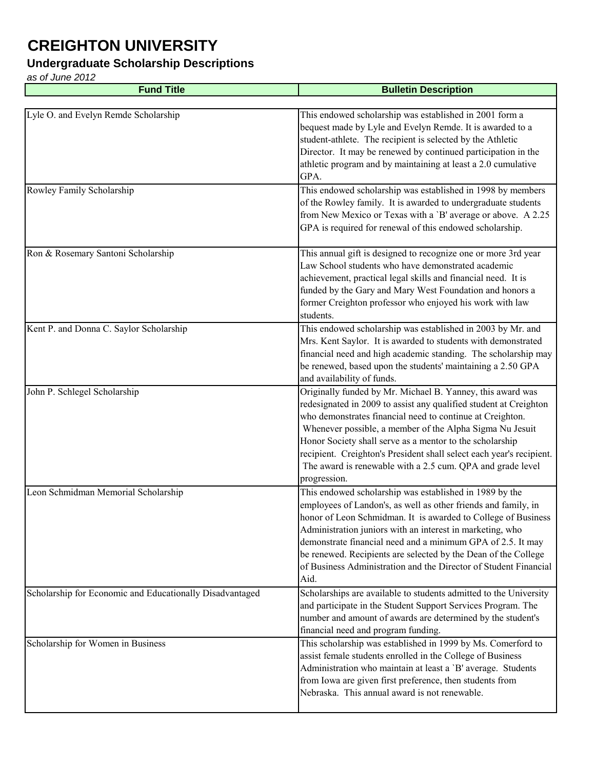#### **Undergraduate Scholarship Descriptions**

| <b>Fund Title</b>                                        | <b>Bulletin Description</b>                                                                                                                                                                                                                                                                                                                                                                                                                                                |
|----------------------------------------------------------|----------------------------------------------------------------------------------------------------------------------------------------------------------------------------------------------------------------------------------------------------------------------------------------------------------------------------------------------------------------------------------------------------------------------------------------------------------------------------|
|                                                          |                                                                                                                                                                                                                                                                                                                                                                                                                                                                            |
| Lyle O. and Evelyn Remde Scholarship                     | This endowed scholarship was established in 2001 form a<br>bequest made by Lyle and Evelyn Remde. It is awarded to a<br>student-athlete. The recipient is selected by the Athletic<br>Director. It may be renewed by continued participation in the<br>athletic program and by maintaining at least a 2.0 cumulative<br>GPA.                                                                                                                                               |
| Rowley Family Scholarship                                | This endowed scholarship was established in 1998 by members<br>of the Rowley family. It is awarded to undergraduate students<br>from New Mexico or Texas with a 'B' average or above. A 2.25<br>GPA is required for renewal of this endowed scholarship.                                                                                                                                                                                                                   |
| Ron & Rosemary Santoni Scholarship                       | This annual gift is designed to recognize one or more 3rd year<br>Law School students who have demonstrated academic<br>achievement, practical legal skills and financial need. It is<br>funded by the Gary and Mary West Foundation and honors a<br>former Creighton professor who enjoyed his work with law<br>students.                                                                                                                                                 |
| Kent P. and Donna C. Saylor Scholarship                  | This endowed scholarship was established in 2003 by Mr. and<br>Mrs. Kent Saylor. It is awarded to students with demonstrated<br>financial need and high academic standing. The scholarship may<br>be renewed, based upon the students' maintaining a 2.50 GPA<br>and availability of funds.                                                                                                                                                                                |
| John P. Schlegel Scholarship                             | Originally funded by Mr. Michael B. Yanney, this award was<br>redesignated in 2009 to assist any qualified student at Creighton<br>who demonstrates financial need to continue at Creighton.<br>Whenever possible, a member of the Alpha Sigma Nu Jesuit<br>Honor Society shall serve as a mentor to the scholarship<br>recipient. Creighton's President shall select each year's recipient.<br>The award is renewable with a 2.5 cum. QPA and grade level<br>progression. |
| Leon Schmidman Memorial Scholarship                      | This endowed scholarship was established in 1989 by the<br>employees of Landon's, as well as other friends and family, in<br>honor of Leon Schmidman. It is awarded to College of Business<br>Administration juniors with an interest in marketing, who<br>demonstrate financial need and a minimum GPA of 2.5. It may<br>be renewed. Recipients are selected by the Dean of the College<br>of Business Administration and the Director of Student Financial<br>Aid.       |
| Scholarship for Economic and Educationally Disadvantaged | Scholarships are available to students admitted to the University<br>and participate in the Student Support Services Program. The<br>number and amount of awards are determined by the student's<br>financial need and program funding.                                                                                                                                                                                                                                    |
| Scholarship for Women in Business                        | This scholarship was established in 1999 by Ms. Comerford to<br>assist female students enrolled in the College of Business<br>Administration who maintain at least a 'B' average. Students<br>from Iowa are given first preference, then students from<br>Nebraska. This annual award is not renewable.                                                                                                                                                                    |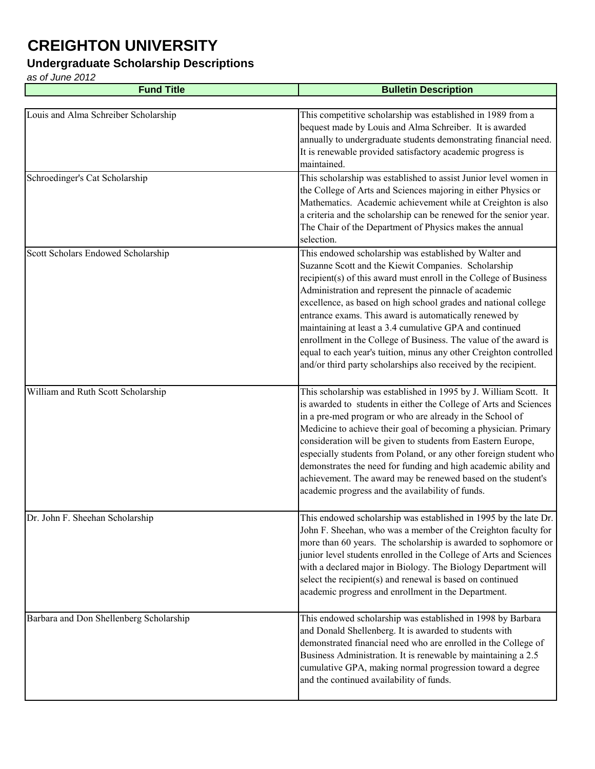#### **Undergraduate Scholarship Descriptions**

| <b>Fund Title</b>                       | <b>Bulletin Description</b>                                                                                                                                                                                                                                                                                                                                                                                                                                                                                                                                                                                                                      |
|-----------------------------------------|--------------------------------------------------------------------------------------------------------------------------------------------------------------------------------------------------------------------------------------------------------------------------------------------------------------------------------------------------------------------------------------------------------------------------------------------------------------------------------------------------------------------------------------------------------------------------------------------------------------------------------------------------|
|                                         |                                                                                                                                                                                                                                                                                                                                                                                                                                                                                                                                                                                                                                                  |
| Louis and Alma Schreiber Scholarship    | This competitive scholarship was established in 1989 from a<br>bequest made by Louis and Alma Schreiber. It is awarded<br>annually to undergraduate students demonstrating financial need.<br>It is renewable provided satisfactory academic progress is<br>maintained.                                                                                                                                                                                                                                                                                                                                                                          |
| Schroedinger's Cat Scholarship          | This scholarship was established to assist Junior level women in<br>the College of Arts and Sciences majoring in either Physics or<br>Mathematics. Academic achievement while at Creighton is also<br>a criteria and the scholarship can be renewed for the senior year.<br>The Chair of the Department of Physics makes the annual<br>selection.                                                                                                                                                                                                                                                                                                |
| Scott Scholars Endowed Scholarship      | This endowed scholarship was established by Walter and<br>Suzanne Scott and the Kiewit Companies. Scholarship<br>recipient(s) of this award must enroll in the College of Business<br>Administration and represent the pinnacle of academic<br>excellence, as based on high school grades and national college<br>entrance exams. This award is automatically renewed by<br>maintaining at least a 3.4 cumulative GPA and continued<br>enrollment in the College of Business. The value of the award is<br>equal to each year's tuition, minus any other Creighton controlled<br>and/or third party scholarships also received by the recipient. |
| William and Ruth Scott Scholarship      | This scholarship was established in 1995 by J. William Scott. It<br>is awarded to students in either the College of Arts and Sciences<br>in a pre-med program or who are already in the School of<br>Medicine to achieve their goal of becoming a physician. Primary<br>consideration will be given to students from Eastern Europe,<br>especially students from Poland, or any other foreign student who<br>demonstrates the need for funding and high academic ability and<br>achievement. The award may be renewed based on the student's<br>academic progress and the availability of funds.                                                 |
| Dr. John F. Sheehan Scholarship         | This endowed scholarship was established in 1995 by the late Dr.<br>John F. Sheehan, who was a member of the Creighton faculty for<br>more than 60 years. The scholarship is awarded to sophomore or<br>junior level students enrolled in the College of Arts and Sciences<br>with a declared major in Biology. The Biology Department will<br>select the recipient(s) and renewal is based on continued<br>academic progress and enrollment in the Department.                                                                                                                                                                                  |
| Barbara and Don Shellenberg Scholarship | This endowed scholarship was established in 1998 by Barbara<br>and Donald Shellenberg. It is awarded to students with<br>demonstrated financial need who are enrolled in the College of<br>Business Administration. It is renewable by maintaining a 2.5<br>cumulative GPA, making normal progression toward a degree<br>and the continued availability of funds.                                                                                                                                                                                                                                                                                |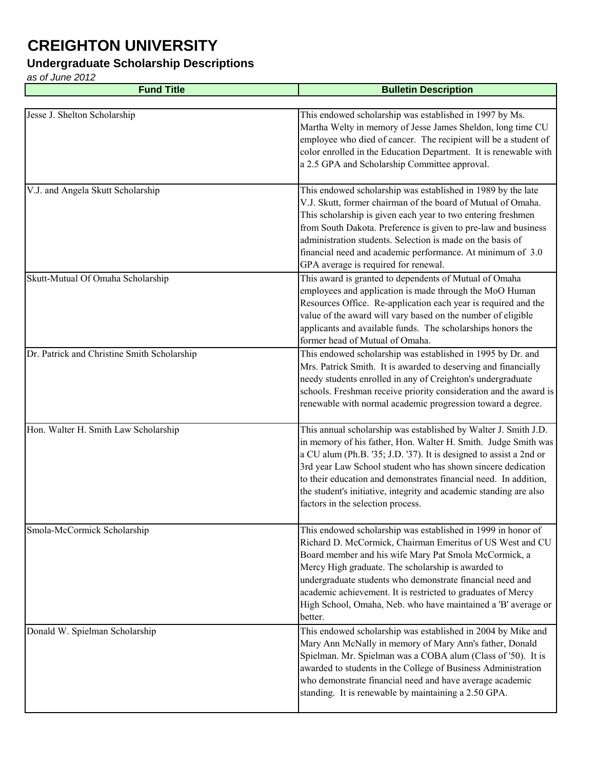#### **Undergraduate Scholarship Descriptions**

| <b>Fund Title</b>                           | <b>Bulletin Description</b>                                                                                                                                                                                                                                                                                                                                                                                                                            |
|---------------------------------------------|--------------------------------------------------------------------------------------------------------------------------------------------------------------------------------------------------------------------------------------------------------------------------------------------------------------------------------------------------------------------------------------------------------------------------------------------------------|
|                                             |                                                                                                                                                                                                                                                                                                                                                                                                                                                        |
| Jesse J. Shelton Scholarship                | This endowed scholarship was established in 1997 by Ms.<br>Martha Welty in memory of Jesse James Sheldon, long time CU<br>employee who died of cancer. The recipient will be a student of<br>color enrolled in the Education Department. It is renewable with<br>a 2.5 GPA and Scholarship Committee approval.                                                                                                                                         |
| V.J. and Angela Skutt Scholarship           | This endowed scholarship was established in 1989 by the late<br>V.J. Skutt, former chairman of the board of Mutual of Omaha.<br>This scholarship is given each year to two entering freshmen<br>from South Dakota. Preference is given to pre-law and business<br>administration students. Selection is made on the basis of<br>financial need and academic performance. At minimum of 3.0<br>GPA average is required for renewal.                     |
| Skutt-Mutual Of Omaha Scholarship           | This award is granted to dependents of Mutual of Omaha<br>employees and application is made through the MoO Human<br>Resources Office. Re-application each year is required and the<br>value of the award will vary based on the number of eligible<br>applicants and available funds. The scholarships honors the<br>former head of Mutual of Omaha.                                                                                                  |
| Dr. Patrick and Christine Smith Scholarship | This endowed scholarship was established in 1995 by Dr. and<br>Mrs. Patrick Smith. It is awarded to deserving and financially<br>needy students enrolled in any of Creighton's undergraduate<br>schools. Freshman receive priority consideration and the award is<br>renewable with normal academic progression toward a degree.                                                                                                                       |
| Hon. Walter H. Smith Law Scholarship        | This annual scholarship was established by Walter J. Smith J.D.<br>in memory of his father, Hon. Walter H. Smith. Judge Smith was<br>a CU alum (Ph.B. '35; J.D. '37). It is designed to assist a 2nd or<br>3rd year Law School student who has shown sincere dedication<br>to their education and demonstrates financial need. In addition,<br>the student's initiative, integrity and academic standing are also<br>factors in the selection process. |
| Smola-McCormick Scholarship                 | This endowed scholarship was established in 1999 in honor of<br>Richard D. McCormick, Chairman Emeritus of US West and CU<br>Board member and his wife Mary Pat Smola McCormick, a<br>Mercy High graduate. The scholarship is awarded to<br>undergraduate students who demonstrate financial need and<br>academic achievement. It is restricted to graduates of Mercy<br>High School, Omaha, Neb. who have maintained a 'B' average or<br>better.      |
| Donald W. Spielman Scholarship              | This endowed scholarship was established in 2004 by Mike and<br>Mary Ann McNally in memory of Mary Ann's father, Donald<br>Spielman. Mr. Spielman was a COBA alum (Class of '50). It is<br>awarded to students in the College of Business Administration<br>who demonstrate financial need and have average academic<br>standing. It is renewable by maintaining a 2.50 GPA.                                                                           |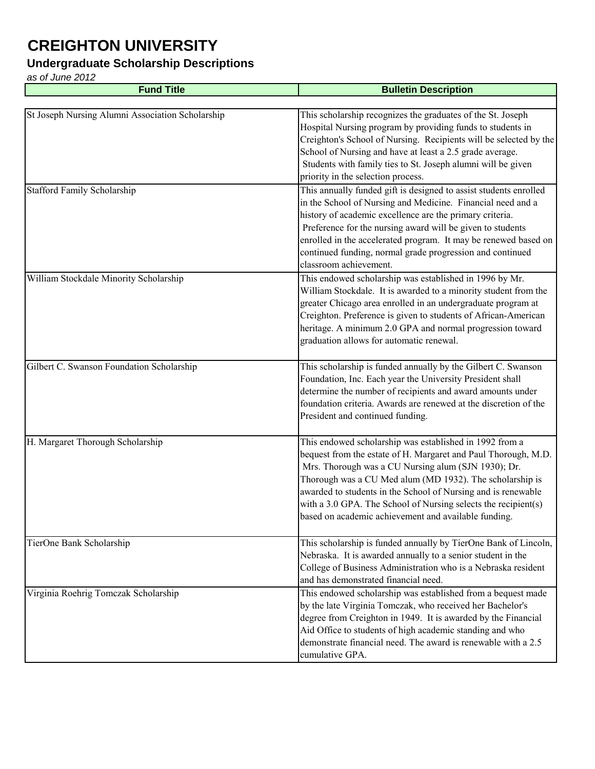### **Undergraduate Scholarship Descriptions**

| <b>Fund Title</b>                                | <b>Bulletin Description</b>                                                                                                                                                                                                                                                                                                                                                                                                             |
|--------------------------------------------------|-----------------------------------------------------------------------------------------------------------------------------------------------------------------------------------------------------------------------------------------------------------------------------------------------------------------------------------------------------------------------------------------------------------------------------------------|
|                                                  |                                                                                                                                                                                                                                                                                                                                                                                                                                         |
| St Joseph Nursing Alumni Association Scholarship | This scholarship recognizes the graduates of the St. Joseph<br>Hospital Nursing program by providing funds to students in<br>Creighton's School of Nursing. Recipients will be selected by the<br>School of Nursing and have at least a 2.5 grade average.<br>Students with family ties to St. Joseph alumni will be given<br>priority in the selection process.                                                                        |
| <b>Stafford Family Scholarship</b>               | This annually funded gift is designed to assist students enrolled<br>in the School of Nursing and Medicine. Financial need and a<br>history of academic excellence are the primary criteria.<br>Preference for the nursing award will be given to students<br>enrolled in the accelerated program. It may be renewed based on<br>continued funding, normal grade progression and continued<br>classroom achievement.                    |
| William Stockdale Minority Scholarship           | This endowed scholarship was established in 1996 by Mr.<br>William Stockdale. It is awarded to a minority student from the<br>greater Chicago area enrolled in an undergraduate program at<br>Creighton. Preference is given to students of African-American<br>heritage. A minimum 2.0 GPA and normal progression toward<br>graduation allows for automatic renewal.                                                                   |
| Gilbert C. Swanson Foundation Scholarship        | This scholarship is funded annually by the Gilbert C. Swanson<br>Foundation, Inc. Each year the University President shall<br>determine the number of recipients and award amounts under<br>foundation criteria. Awards are renewed at the discretion of the<br>President and continued funding.                                                                                                                                        |
| H. Margaret Thorough Scholarship                 | This endowed scholarship was established in 1992 from a<br>bequest from the estate of H. Margaret and Paul Thorough, M.D.<br>Mrs. Thorough was a CU Nursing alum (SJN 1930); Dr.<br>Thorough was a CU Med alum (MD 1932). The scholarship is<br>awarded to students in the School of Nursing and is renewable<br>with a 3.0 GPA. The School of Nursing selects the recipient(s)<br>based on academic achievement and available funding. |
| TierOne Bank Scholarship                         | This scholarship is funded annually by TierOne Bank of Lincoln,<br>Nebraska. It is awarded annually to a senior student in the<br>College of Business Administration who is a Nebraska resident<br>and has demonstrated financial need.                                                                                                                                                                                                 |
| Virginia Roehrig Tomczak Scholarship             | This endowed scholarship was established from a bequest made<br>by the late Virginia Tomczak, who received her Bachelor's<br>degree from Creighton in 1949. It is awarded by the Financial<br>Aid Office to students of high academic standing and who<br>demonstrate financial need. The award is renewable with a 2.5<br>cumulative GPA.                                                                                              |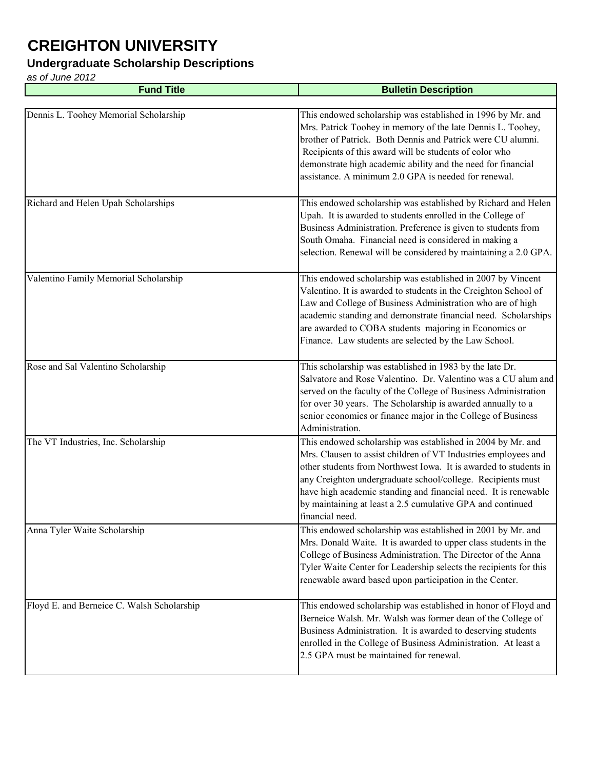### **Undergraduate Scholarship Descriptions**

| <b>Fund Title</b>                          | <b>Bulletin Description</b>                                                                                                                                                                                                                                                                                                                                                                                          |
|--------------------------------------------|----------------------------------------------------------------------------------------------------------------------------------------------------------------------------------------------------------------------------------------------------------------------------------------------------------------------------------------------------------------------------------------------------------------------|
|                                            |                                                                                                                                                                                                                                                                                                                                                                                                                      |
| Dennis L. Toohey Memorial Scholarship      | This endowed scholarship was established in 1996 by Mr. and<br>Mrs. Patrick Toohey in memory of the late Dennis L. Toohey,<br>brother of Patrick. Both Dennis and Patrick were CU alumni.<br>Recipients of this award will be students of color who<br>demonstrate high academic ability and the need for financial<br>assistance. A minimum 2.0 GPA is needed for renewal.                                          |
| Richard and Helen Upah Scholarships        | This endowed scholarship was established by Richard and Helen<br>Upah. It is awarded to students enrolled in the College of<br>Business Administration. Preference is given to students from<br>South Omaha. Financial need is considered in making a<br>selection. Renewal will be considered by maintaining a 2.0 GPA.                                                                                             |
| Valentino Family Memorial Scholarship      | This endowed scholarship was established in 2007 by Vincent<br>Valentino. It is awarded to students in the Creighton School of<br>Law and College of Business Administration who are of high<br>academic standing and demonstrate financial need. Scholarships<br>are awarded to COBA students majoring in Economics or<br>Finance. Law students are selected by the Law School.                                     |
| Rose and Sal Valentino Scholarship         | This scholarship was established in 1983 by the late Dr.<br>Salvatore and Rose Valentino. Dr. Valentino was a CU alum and<br>served on the faculty of the College of Business Administration<br>for over 30 years. The Scholarship is awarded annually to a<br>senior economics or finance major in the College of Business<br>Administration.                                                                       |
| The VT Industries, Inc. Scholarship        | This endowed scholarship was established in 2004 by Mr. and<br>Mrs. Clausen to assist children of VT Industries employees and<br>other students from Northwest Iowa. It is awarded to students in<br>any Creighton undergraduate school/college. Recipients must<br>have high academic standing and financial need. It is renewable<br>by maintaining at least a 2.5 cumulative GPA and continued<br>financial need. |
| Anna Tyler Waite Scholarship               | This endowed scholarship was established in 2001 by Mr. and<br>Mrs. Donald Waite. It is awarded to upper class students in the<br>College of Business Administration. The Director of the Anna<br>Tyler Waite Center for Leadership selects the recipients for this<br>renewable award based upon participation in the Center.                                                                                       |
| Floyd E. and Berneice C. Walsh Scholarship | This endowed scholarship was established in honor of Floyd and<br>Berneice Walsh. Mr. Walsh was former dean of the College of<br>Business Administration. It is awarded to deserving students<br>enrolled in the College of Business Administration. At least a<br>2.5 GPA must be maintained for renewal.                                                                                                           |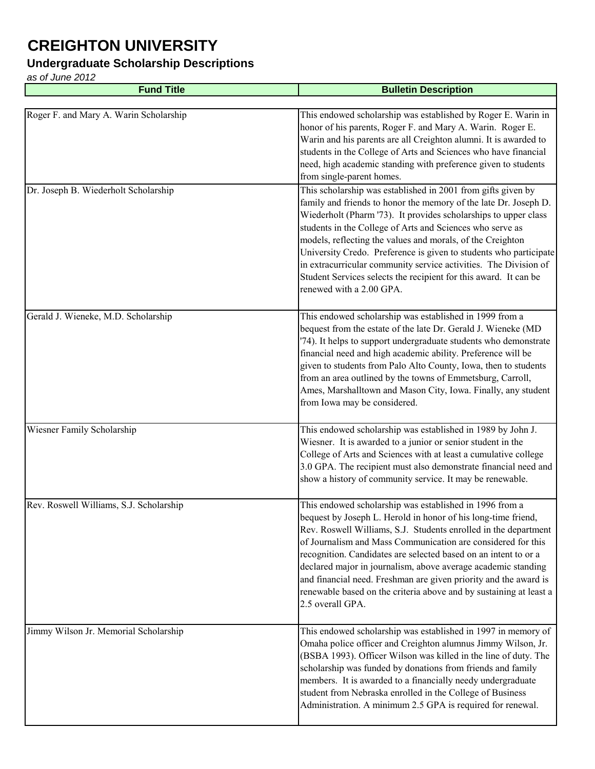### **Undergraduate Scholarship Descriptions**

| <b>Fund Title</b>                       | <b>Bulletin Description</b>                                                                                                                                                                                                                                                                                                                                                                                                                                                                                                                                             |
|-----------------------------------------|-------------------------------------------------------------------------------------------------------------------------------------------------------------------------------------------------------------------------------------------------------------------------------------------------------------------------------------------------------------------------------------------------------------------------------------------------------------------------------------------------------------------------------------------------------------------------|
|                                         |                                                                                                                                                                                                                                                                                                                                                                                                                                                                                                                                                                         |
| Roger F. and Mary A. Warin Scholarship  | This endowed scholarship was established by Roger E. Warin in<br>honor of his parents, Roger F. and Mary A. Warin. Roger E.<br>Warin and his parents are all Creighton alumni. It is awarded to<br>students in the College of Arts and Sciences who have financial<br>need, high academic standing with preference given to students<br>from single-parent homes.                                                                                                                                                                                                       |
| Dr. Joseph B. Wiederholt Scholarship    | This scholarship was established in 2001 from gifts given by<br>family and friends to honor the memory of the late Dr. Joseph D.<br>Wiederholt (Pharm '73). It provides scholarships to upper class<br>students in the College of Arts and Sciences who serve as<br>models, reflecting the values and morals, of the Creighton<br>University Credo. Preference is given to students who participate<br>in extracurricular community service activities. The Division of<br>Student Services selects the recipient for this award. It can be<br>renewed with a 2.00 GPA. |
| Gerald J. Wieneke, M.D. Scholarship     | This endowed scholarship was established in 1999 from a<br>bequest from the estate of the late Dr. Gerald J. Wieneke (MD<br>'74). It helps to support undergraduate students who demonstrate<br>financial need and high academic ability. Preference will be<br>given to students from Palo Alto County, Iowa, then to students<br>from an area outlined by the towns of Emmetsburg, Carroll,<br>Ames, Marshalltown and Mason City, Iowa. Finally, any student<br>from Iowa may be considered.                                                                          |
| Wiesner Family Scholarship              | This endowed scholarship was established in 1989 by John J.<br>Wiesner. It is awarded to a junior or senior student in the<br>College of Arts and Sciences with at least a cumulative college<br>3.0 GPA. The recipient must also demonstrate financial need and<br>show a history of community service. It may be renewable.                                                                                                                                                                                                                                           |
| Rev. Roswell Williams, S.J. Scholarship | This endowed scholarship was established in 1996 from a<br>bequest by Joseph L. Herold in honor of his long-time friend,<br>Rev. Roswell Williams, S.J. Students enrolled in the department<br>of Journalism and Mass Communication are considered for this<br>recognition. Candidates are selected based on an intent to or a<br>declared major in journalism, above average academic standing<br>and financial need. Freshman are given priority and the award is<br>renewable based on the criteria above and by sustaining at least a<br>2.5 overall GPA.           |
| Jimmy Wilson Jr. Memorial Scholarship   | This endowed scholarship was established in 1997 in memory of<br>Omaha police officer and Creighton alumnus Jimmy Wilson, Jr.<br>(BSBA 1993). Officer Wilson was killed in the line of duty. The<br>scholarship was funded by donations from friends and family<br>members. It is awarded to a financially needy undergraduate<br>student from Nebraska enrolled in the College of Business<br>Administration. A minimum 2.5 GPA is required for renewal.                                                                                                               |